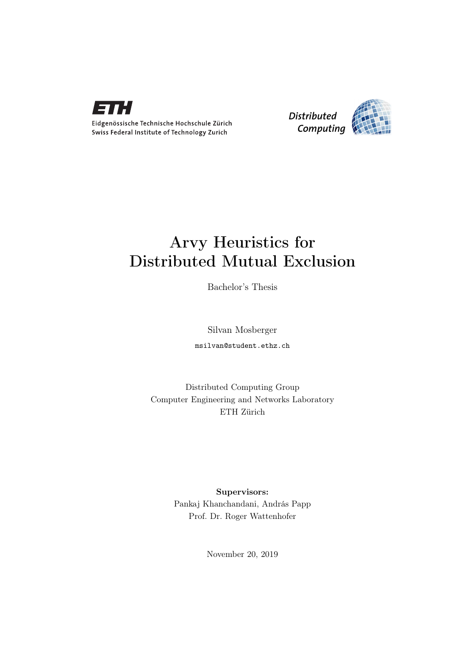

Eidgenössische Technische Hochschule Zürich Swiss Federal Institute of Technology Zurich



## Arvy Heuristics for Distributed Mutual Exclusion

Bachelor's Thesis

Silvan Mosberger msilvan@student.ethz.ch

Distributed Computing Group Computer Engineering and Networks Laboratory ETH Zürich

> Supervisors: Pankaj Khanchandani, András Papp Prof. Dr. Roger Wattenhofer

> > November 20, 2019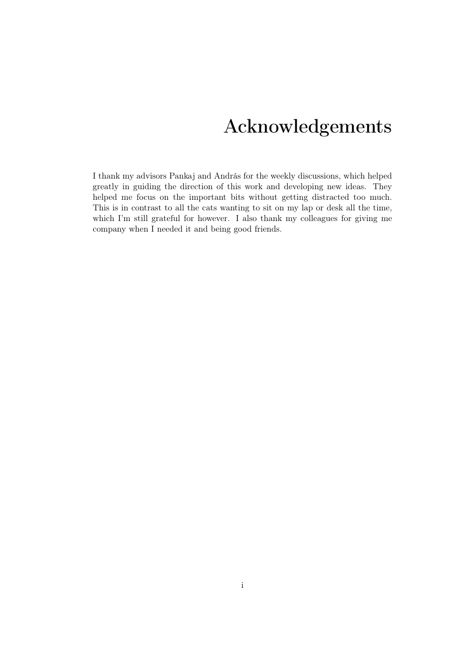## Acknowledgements

<span id="page-1-0"></span>I thank my advisors Pankaj and András for the weekly discussions, which helped greatly in guiding the direction of this work and developing new ideas. They helped me focus on the important bits without getting distracted too much. This is in contrast to all the cats wanting to sit on my lap or desk all the time, which I'm still grateful for however. I also thank my colleagues for giving me company when I needed it and being good friends.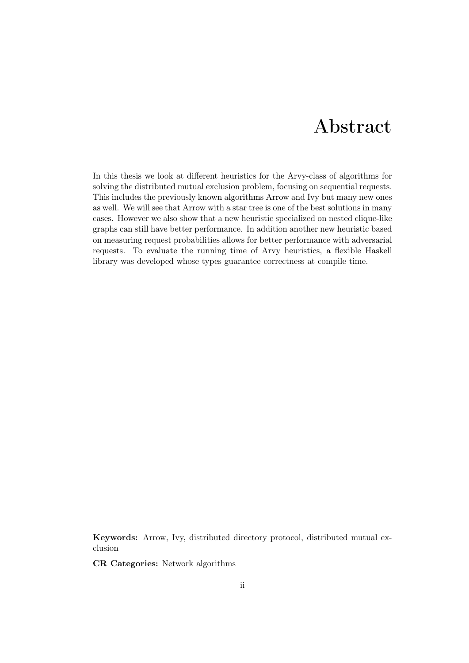## Abstract

<span id="page-2-0"></span>In this thesis we look at different heuristics for the Arvy-class of algorithms for solving the distributed mutual exclusion problem, focusing on sequential requests. This includes the previously known algorithms Arrow and Ivy but many new ones as well. We will see that Arrow with a star tree is one of the best solutions in many cases. However we also show that a new heuristic specialized on nested clique-like graphs can still have better performance. In addition another new heuristic based on measuring request probabilities allows for better performance with adversarial requests. To evaluate the running time of Arvy heuristics, a flexible Haskell library was developed whose types guarantee correctness at compile time.

Keywords: Arrow, Ivy, distributed directory protocol, distributed mutual exclusion

CR Categories: Network algorithms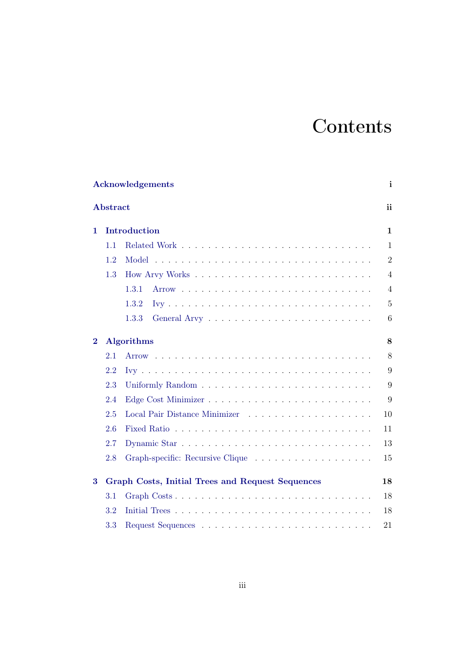# **Contents**

|                   |          | Acknowledgements                                        | $\mathbf{i}$   |  |  |  |  |
|-------------------|----------|---------------------------------------------------------|----------------|--|--|--|--|
|                   | Abstract |                                                         | ii             |  |  |  |  |
| Introduction<br>1 |          |                                                         |                |  |  |  |  |
|                   | 1.1      |                                                         | $\mathbf{1}$   |  |  |  |  |
|                   | 1.2      |                                                         | $\overline{2}$ |  |  |  |  |
|                   | 1.3      |                                                         | $\overline{4}$ |  |  |  |  |
|                   |          | 1.3.1                                                   | $\overline{4}$ |  |  |  |  |
|                   |          | 1.3.2                                                   | $\overline{5}$ |  |  |  |  |
|                   |          | 1.3.3                                                   | 6              |  |  |  |  |
| $\bf{2}$          |          | <b>Algorithms</b>                                       | 8              |  |  |  |  |
|                   | 2.1      |                                                         | 8              |  |  |  |  |
|                   | 2.2      |                                                         | 9              |  |  |  |  |
|                   | 2.3      |                                                         | 9              |  |  |  |  |
|                   | 2.4      |                                                         | 9              |  |  |  |  |
|                   | 2.5      |                                                         | 10             |  |  |  |  |
|                   | 2.6      |                                                         | 11             |  |  |  |  |
|                   | 2.7      |                                                         | 13             |  |  |  |  |
|                   | 2.8      |                                                         | 15             |  |  |  |  |
| 3                 |          | <b>Graph Costs, Initial Trees and Request Sequences</b> | 18             |  |  |  |  |
|                   | 3.1      | Graph Costs                                             | 18             |  |  |  |  |
|                   | 3.2      |                                                         | 18             |  |  |  |  |
|                   | 3.3      |                                                         | 21             |  |  |  |  |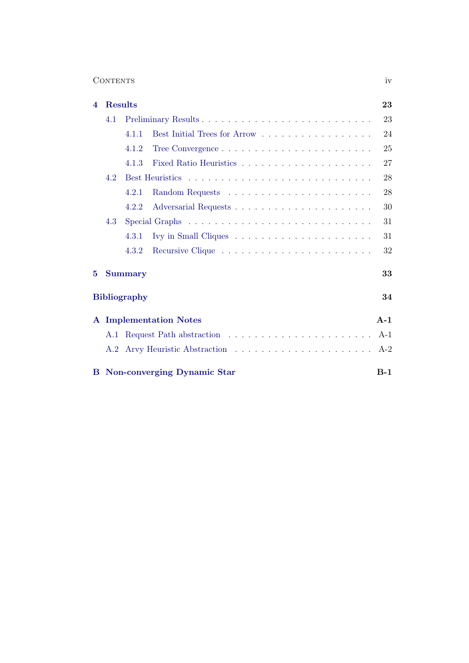| $\mathbf{U}$ |
|--------------|
|              |

| $\overline{\mathbf{4}}$ | <b>Results</b> |                                       | 23    |
|-------------------------|----------------|---------------------------------------|-------|
|                         | 4.1            |                                       | 23    |
|                         |                | Best Initial Trees for Arrow<br>4.1.1 | 24    |
|                         |                | 4.1.2                                 | 25    |
|                         |                | 4.1.3                                 | 27    |
|                         | 4.2            |                                       | 28    |
|                         |                | 4.2.1                                 | 28    |
|                         |                | 4.2.2                                 | 30    |
|                         | 4.3            |                                       | 31    |
|                         |                | 4.3.1                                 | 31    |
|                         |                | 4.3.2                                 | 32    |
| 5                       |                | <b>Summary</b>                        | 33    |
|                         |                | <b>Bibliography</b>                   | 34    |
| $\mathbf{A}$            |                | <b>Implementation Notes</b>           | $A-1$ |
|                         | A.1            |                                       | $A-1$ |
|                         | A.2            |                                       | $A-2$ |
| B.                      |                | Non-converging Dynamic Star           | $B-1$ |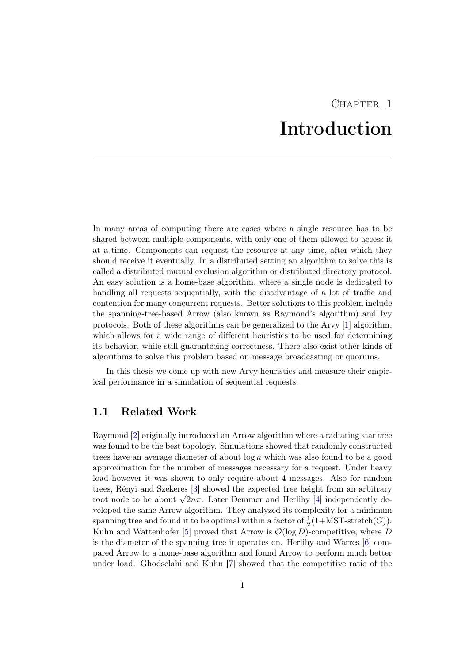## CHAPTER<sub>1</sub> Introduction

<span id="page-5-0"></span>In many areas of computing there are cases where a single resource has to be shared between multiple components, with only one of them allowed to access it at a time. Components can request the resource at any time, after which they should receive it eventually. In a distributed setting an algorithm to solve this is called a distributed mutual exclusion algorithm or distributed directory protocol. An easy solution is a home-base algorithm, where a single node is dedicated to handling all requests sequentially, with the disadvantage of a lot of traffic and contention for many concurrent requests. Better solutions to this problem include the spanning-tree-based Arrow (also known as Raymond's algorithm) and Ivy protocols. Both of these algorithms can be generalized to the Arvy [\[1\]](#page-38-1) algorithm, which allows for a wide range of different heuristics to be used for determining its behavior, while still guaranteeing correctness. There also exist other kinds of algorithms to solve this problem based on message broadcasting or quorums.

In this thesis we come up with new Arvy heuristics and measure their empirical performance in a simulation of sequential requests.

## <span id="page-5-1"></span>1.1 Related Work

Raymond [\[2\]](#page-38-2) originally introduced an Arrow algorithm where a radiating star tree was found to be the best topology. Simulations showed that randomly constructed trees have an average diameter of about  $\log n$  which was also found to be a good approximation for the number of messages necessary for a request. Under heavy load however it was shown to only require about 4 messages. Also for random trees, Rényi and Szekeres [\[3\]](#page-38-3) showed the expected tree height from an arbitrary trees, Kenyl and Szekeres [3] snowed the expected tree height from an arbitrary root node to be about  $\sqrt{2n\pi}$ . Later Demmer and Herlihy [\[4\]](#page-38-4) independently developed the same Arrow algorithm. They analyzed its complexity for a minimum spanning tree and found it to be optimal within a factor of  $\frac{1}{2}(1+\text{MST-stretch}(G)).$ Kuhn and Wattenhofer [\[5\]](#page-38-5) proved that Arrow is  $\mathcal{O}(\log D)$ -competitive, where D is the diameter of the spanning tree it operates on. Herlihy and Warres [\[6\]](#page-38-6) compared Arrow to a home-base algorithm and found Arrow to perform much better under load. Ghodselahi and Kuhn [\[7\]](#page-38-7) showed that the competitive ratio of the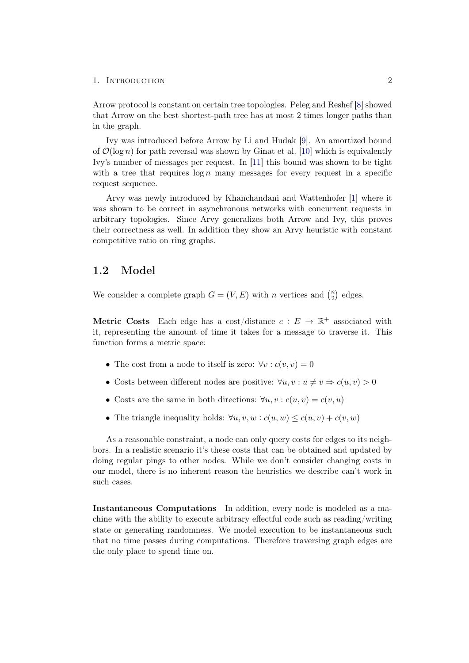Arrow protocol is constant on certain tree topologies. Peleg and Reshef [\[8\]](#page-38-8) showed that Arrow on the best shortest-path tree has at most 2 times longer paths than in the graph.

Ivy was introduced before Arrow by Li and Hudak [\[9\]](#page-38-9). An amortized bound of  $\mathcal{O}(\log n)$  for path reversal was shown by Ginat et al. [\[10\]](#page-38-10) which is equivalently Ivy's number of messages per request. In [\[11\]](#page-38-11) this bound was shown to be tight with a tree that requires  $\log n$  many messages for every request in a specific request sequence.

Arvy was newly introduced by Khanchandani and Wattenhofer [\[1\]](#page-38-1) where it was shown to be correct in asynchronous networks with concurrent requests in arbitrary topologies. Since Arvy generalizes both Arrow and Ivy, this proves their correctness as well. In addition they show an Arvy heuristic with constant competitive ratio on ring graphs.

## <span id="page-6-0"></span>1.2 Model

We consider a complete graph  $G = (V, E)$  with n vertices and  $\binom{n}{2}$  $n \choose 2$  edges.

**Metric Costs** Each edge has a cost/distance  $c : E \to \mathbb{R}^+$  associated with it, representing the amount of time it takes for a message to traverse it. This function forms a metric space:

- The cost from a node to itself is zero:  $\forall v : c(v, v) = 0$
- Costs between different nodes are positive:  $\forall u, v : u \neq v \Rightarrow c(u, v) > 0$
- Costs are the same in both directions:  $\forall u, v : c(u, v) = c(v, u)$
- The triangle inequality holds:  $\forall u, v, w : c(u, w) \leq c(u, v) + c(v, w)$

As a reasonable constraint, a node can only query costs for edges to its neighbors. In a realistic scenario it's these costs that can be obtained and updated by doing regular pings to other nodes. While we don't consider changing costs in our model, there is no inherent reason the heuristics we describe can't work in such cases.

Instantaneous Computations In addition, every node is modeled as a machine with the ability to execute arbitrary effectful code such as reading/writing state or generating randomness. We model execution to be instantaneous such that no time passes during computations. Therefore traversing graph edges are the only place to spend time on.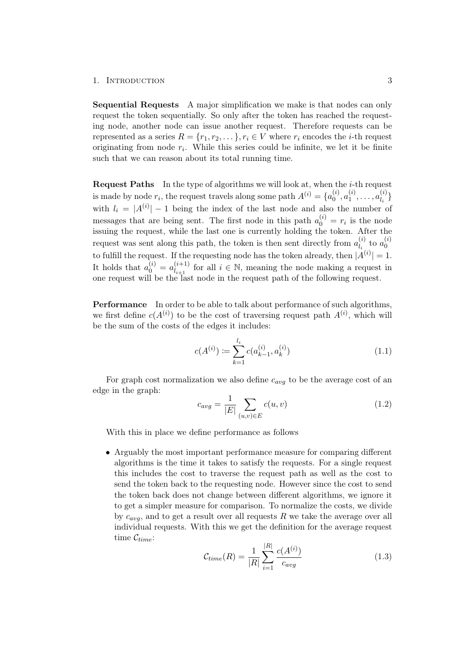Sequential Requests A major simplification we make is that nodes can only request the token sequentially. So only after the token has reached the requesting node, another node can issue another request. Therefore requests can be represented as a series  $R = \{r_1, r_2, \dots\}, r_i \in V$  where  $r_i$  encodes the *i*-th request originating from node  $r_i$ . While this series could be infinite, we let it be finite such that we can reason about its total running time.

Request Paths In the type of algorithms we will look at, when the i-th request is made by node  $r_i$ , the request travels along some path  $A^{(i)} = \{a_0^{(i)}\}$  $\stackrel{(i)}{0},a_1^{(i)}$  $a_1^{(i)}, \ldots, a_{l_i}^{(i)}$  $\begin{bmatrix} \iota \\ l_i \end{bmatrix}$ with  $l_i = |A^{(i)}| - 1$  being the index of the last node and also the number of messages that are being sent. The first node in this path  $a_0^{(i)} = r_i$  is the node issuing the request, while the last one is currently holding the token. After the request was sent along this path, the token is then sent directly from  $a_l^{(i)}$  $\frac{(i)}{l_i}$  to  $a_0^{(i)}$ 0 to fulfill the request. If the requesting node has the token already, then  $|A^{(i)}|=1$ . It holds that  $a_0^{(i)} = a_{l_{i+1}}^{(i+1)}$  $\binom{i+1}{i+1}$  for all  $i \in \mathbb{N}$ , meaning the node making a request in one request will be the last node in the request path of the following request.

<span id="page-7-0"></span>Performance In order to be able to talk about performance of such algorithms, we first define  $c(A^{(i)})$  to be the cost of traversing request path  $A^{(i)}$ , which will be the sum of the costs of the edges it includes:

$$
c(A^{(i)}) \coloneqq \sum_{k=1}^{l_i} c(a_{k-1}^{(i)}, a_k^{(i)}) \tag{1.1}
$$

For graph cost normalization we also define  $c_{avg}$  to be the average cost of an edge in the graph:

$$
c_{avg} = \frac{1}{|E|} \sum_{(u,v) \in E} c(u,v)
$$
 (1.2)

With this in place we define performance as follows

• Arguably the most important performance measure for comparing different algorithms is the time it takes to satisfy the requests. For a single request this includes the cost to traverse the request path as well as the cost to send the token back to the requesting node. However since the cost to send the token back does not change between different algorithms, we ignore it to get a simpler measure for comparison. To normalize the costs, we divide by  $c_{ava}$ , and to get a result over all requests R we take the average over all individual requests. With this we get the definition for the average request time  $\mathcal{C}_{time}$ :

$$
\mathcal{C}_{time}(R) = \frac{1}{|R|} \sum_{i=1}^{|R|} \frac{c(A^{(i)})}{c_{avg}} \tag{1.3}
$$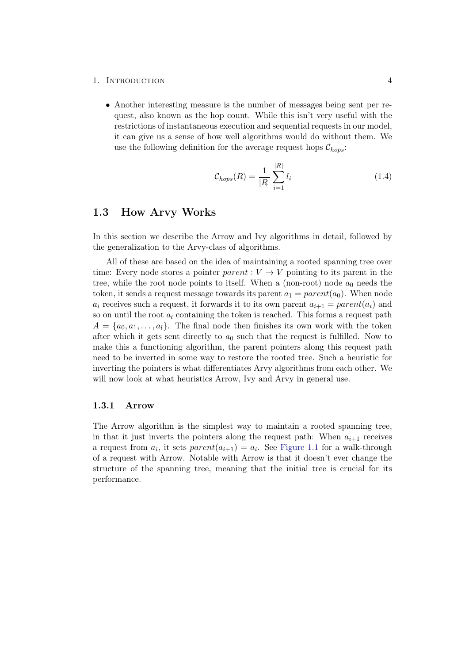• Another interesting measure is the number of messages being sent per request, also known as the hop count. While this isn't very useful with the restrictions of instantaneous execution and sequential requests in our model, it can give us a sense of how well algorithms would do without them. We use the following definition for the average request hops  $\mathcal{C}_{hons}$ :

$$
C_{hops}(R) = \frac{1}{|R|} \sum_{i=1}^{|R|} l_i
$$
\n(1.4)

## <span id="page-8-0"></span>1.3 How Arvy Works

In this section we describe the Arrow and Ivy algorithms in detail, followed by the generalization to the Arvy-class of algorithms.

All of these are based on the idea of maintaining a rooted spanning tree over time: Every node stores a pointer parent :  $V \rightarrow V$  pointing to its parent in the tree, while the root node points to itself. When a (non-root) node  $a_0$  needs the token, it sends a request message towards its parent  $a_1 = parent(a_0)$ . When node  $a_i$  receives such a request, it forwards it to its own parent  $a_{i+1} = parent(a_i)$  and so on until the root  $a_l$  containing the token is reached. This forms a request path  $A = \{a_0, a_1, \ldots, a_l\}.$  The final node then finishes its own work with the token after which it gets sent directly to  $a_0$  such that the request is fulfilled. Now to make this a functioning algorithm, the parent pointers along this request path need to be inverted in some way to restore the rooted tree. Such a heuristic for inverting the pointers is what differentiates Arvy algorithms from each other. We will now look at what heuristics Arrow, Ivy and Arvy in general use.

### <span id="page-8-1"></span>1.3.1 Arrow

The Arrow algorithm is the simplest way to maintain a rooted spanning tree, in that it just inverts the pointers along the request path: When  $a_{i+1}$  receives a request from  $a_i$ , it sets  $parent(a_{i+1}) = a_i$ . See [Figure 1.1](#page-9-1) for a walk-through of a request with Arrow. Notable with Arrow is that it doesn't ever change the structure of the spanning tree, meaning that the initial tree is crucial for its performance.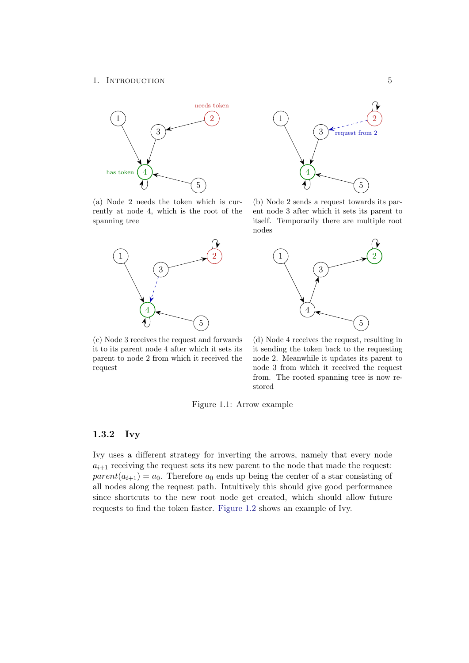<span id="page-9-1"></span>

(a) Node 2 needs the token which is currently at node 4, which is the root of the spanning tree



(c) Node 3 receives the request and forwards it to its parent node 4 after which it sets its parent to node 2 from which it received the request



(b) Node 2 sends a request towards its parent node 3 after which it sets its parent to itself. Temporarily there are multiple root nodes



(d) Node 4 receives the request, resulting in it sending the token back to the requesting node 2. Meanwhile it updates its parent to node 3 from which it received the request from. The rooted spanning tree is now restored

Figure 1.1: Arrow example

## <span id="page-9-0"></span>1.3.2 Ivy

Ivy uses a different strategy for inverting the arrows, namely that every node  $a_{i+1}$  receiving the request sets its new parent to the node that made the request:  $parent(a_{i+1}) = a_0$ . Therefore  $a_0$  ends up being the center of a star consisting of all nodes along the request path. Intuitively this should give good performance since shortcuts to the new root node get created, which should allow future requests to find the token faster. [Figure 1.2](#page-10-1) shows an example of Ivy.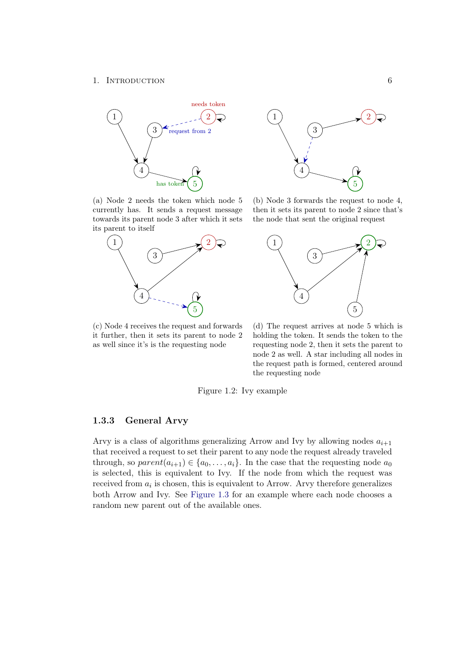<span id="page-10-1"></span>

(a) Node 2 needs the token which node 5 currently has. It sends a request message towards its parent node 3 after which it sets its parent to itself



(c) Node 4 receives the request and forwards it further, then it sets its parent to node 2 as well since it's is the requesting node



(b) Node 3 forwards the request to node 4, then it sets its parent to node 2 since that's the node that sent the original request



(d) The request arrives at node 5 which is holding the token. It sends the token to the requesting node 2, then it sets the parent to node 2 as well. A star including all nodes in the request path is formed, centered around the requesting node

Figure 1.2: Ivy example

## <span id="page-10-0"></span>1.3.3 General Arvy

Arvy is a class of algorithms generalizing Arrow and Ivy by allowing nodes  $a_{i+1}$ that received a request to set their parent to any node the request already traveled through, so  $parent(a_{i+1}) \in \{a_0, \ldots, a_i\}$ . In the case that the requesting node  $a_0$ is selected, this is equivalent to Ivy. If the node from which the request was received from  $a_i$  is chosen, this is equivalent to Arrow. Arvy therefore generalizes both Arrow and Ivy. See [Figure 1.3](#page-11-0) for an example where each node chooses a random new parent out of the available ones.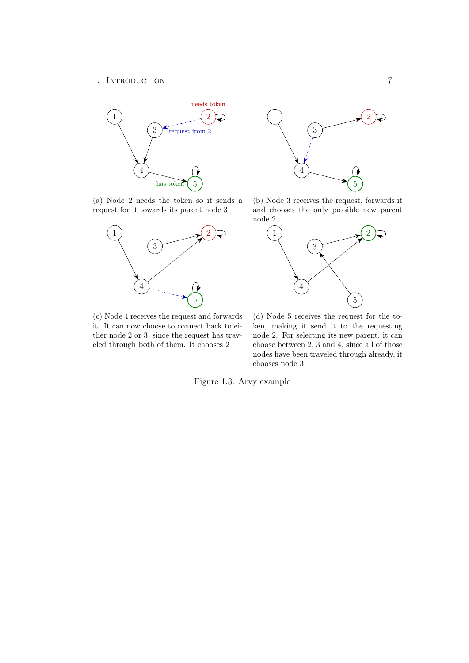<span id="page-11-0"></span>

(a) Node 2 needs the token so it sends a request for it towards its parent node 3



1 )  $\rightarrow$  (2) 3 4 5

(b) Node 3 receives the request, forwards it and chooses the only possible new parent node 2



(c) Node 4 receives the request and forwards it. It can now choose to connect back to either node 2 or 3, since the request has traveled through both of them. It chooses 2

(d) Node 5 receives the request for the token, making it send it to the requesting node 2. For selecting its new parent, it can choose between 2, 3 and 4, since all of those nodes have been traveled through already, it chooses node 3

Figure 1.3: Arvy example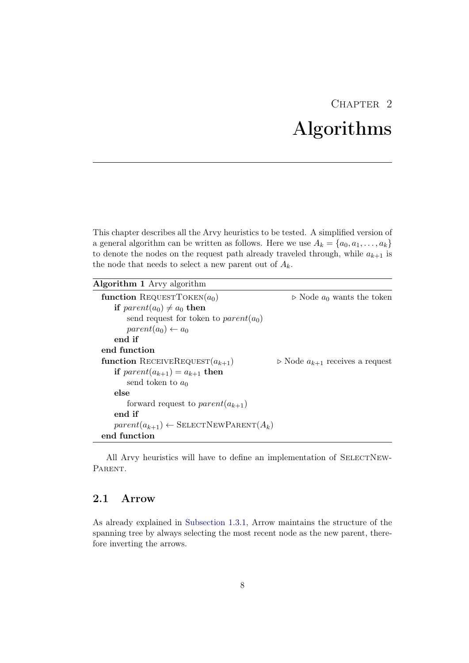## CHAPTER<sub>2</sub> Algorithms

<span id="page-12-0"></span>This chapter describes all the Arvy heuristics to be tested. A simplified version of a general algorithm can be written as follows. Here we use  $A_k = \{a_0, a_1, \ldots, a_k\}$ to denote the nodes on the request path already traveled through, while  $a_{k+1}$  is the node that needs to select a new parent out of  $A_k$ .

| <b>Algorithm 1</b> Arvy algorithm |  |  |  |  |
|-----------------------------------|--|--|--|--|
|-----------------------------------|--|--|--|--|

| function REQUESTTOKEN $(a_0)$                        | $\triangleright$ Node $a_0$ wants the token        |
|------------------------------------------------------|----------------------------------------------------|
|                                                      |                                                    |
| if $parent(a_0) \neq a_0$ then                       |                                                    |
| send request for token to <i>parent</i> ( $a_0$ )    |                                                    |
| $parent(a_0) \leftarrow a_0$                         |                                                    |
| end if                                               |                                                    |
| end function                                         |                                                    |
| function RECEIVEREQUEST $(a_{k+1})$                  | $\triangleright$ Node $a_{k+1}$ receives a request |
| if $parent(a_{k+1}) = a_{k+1}$ then                  |                                                    |
| send token to $a_0$                                  |                                                    |
| else                                                 |                                                    |
| forward request to $parent(a_{k+1})$                 |                                                    |
| end if                                               |                                                    |
| $parent(a_{k+1}) \leftarrow$ SELECTNEWPARENT $(A_k)$ |                                                    |
| end function                                         |                                                    |

All Arvy heuristics will have to define an implementation of SELECTNEW-PARENT.

## <span id="page-12-1"></span>2.1 Arrow

As already explained in [Subsection 1.3.1,](#page-8-1) Arrow maintains the structure of the spanning tree by always selecting the most recent node as the new parent, therefore inverting the arrows.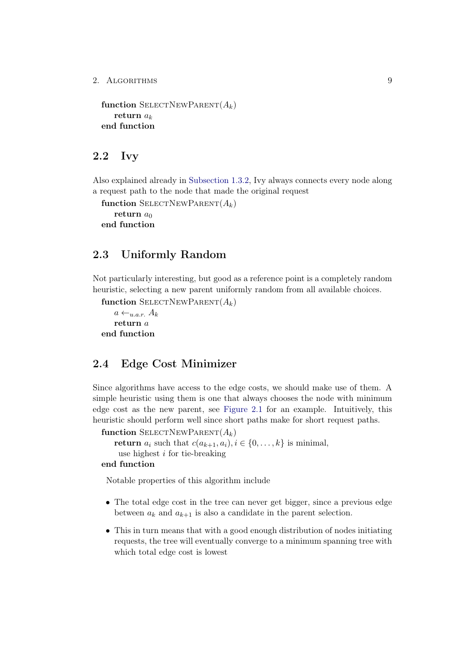```
function SELECTNEWPARENT(A_k)return a_kend function
```
## <span id="page-13-0"></span>2.2 Ivy

Also explained already in [Subsection 1.3.2,](#page-9-0) Ivy always connects every node along a request path to the node that made the original request

```
function SELECTNEWPARENT(A_k)return a_0end function
```
## <span id="page-13-1"></span>2.3 Uniformly Random

Not particularly interesting, but good as a reference point is a completely random heuristic, selecting a new parent uniformly random from all available choices.

```
function SELECTNEWPARENT(A_k)
```

```
a \leftarrow_{u.a.r.} A_kreturn a
end function
```
## <span id="page-13-2"></span>2.4 Edge Cost Minimizer

Since algorithms have access to the edge costs, we should make use of them. A simple heuristic using them is one that always chooses the node with minimum edge cost as the new parent, see [Figure 2.1](#page-14-1) for an example. Intuitively, this heuristic should perform well since short paths make for short request paths.

```
function SELECTNEWPARENT(A_k)return a_i such that c(a_{k+1}, a_i), i \in \{0, \ldots, k\} is minimal,
    use highest i for tie-breaking
```
### end function

Notable properties of this algorithm include

- The total edge cost in the tree can never get bigger, since a previous edge between  $a_k$  and  $a_{k+1}$  is also a candidate in the parent selection.
- This in turn means that with a good enough distribution of nodes initiating requests, the tree will eventually converge to a minimum spanning tree with which total edge cost is lowest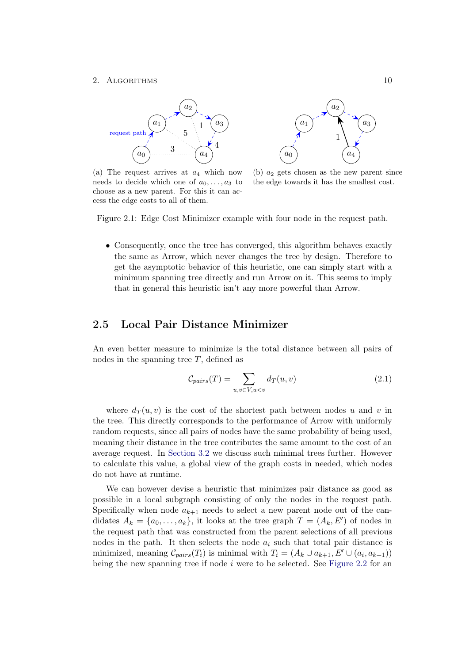<span id="page-14-1"></span>

(a) The request arrives at  $a_4$  which now needs to decide which one of  $a_0, \ldots, a_3$  to choose as a new parent. For this it can access the edge costs to all of them.



(b)  $a_2$  gets chosen as the new parent since the edge towards it has the smallest cost.

Figure 2.1: Edge Cost Minimizer example with four node in the request path.

• Consequently, once the tree has converged, this algorithm behaves exactly the same as Arrow, which never changes the tree by design. Therefore to get the asymptotic behavior of this heuristic, one can simply start with a minimum spanning tree directly and run Arrow on it. This seems to imply that in general this heuristic isn't any more powerful than Arrow.

## <span id="page-14-0"></span>2.5 Local Pair Distance Minimizer

An even better measure to minimize is the total distance between all pairs of nodes in the spanning tree  $T$ , defined as

$$
\mathcal{C}_{pairs}(T) = \sum_{u,v \in V, u < v} d_T(u,v) \tag{2.1}
$$

where  $d_T(u, v)$  is the cost of the shortest path between nodes u and v in the tree. This directly corresponds to the performance of Arrow with uniformly random requests, since all pairs of nodes have the same probability of being used, meaning their distance in the tree contributes the same amount to the cost of an average request. In [Section 3.2](#page-23-0) we discuss such minimal trees further. However to calculate this value, a global view of the graph costs in needed, which nodes do not have at runtime.

We can however devise a heuristic that minimizes pair distance as good as possible in a local subgraph consisting of only the nodes in the request path. Specifically when node  $a_{k+1}$  needs to select a new parent node out of the candidates  $A_k = \{a_0, \ldots, a_k\}$ , it looks at the tree graph  $T = (A_k, E')$  of nodes in the request path that was constructed from the parent selections of all previous nodes in the path. It then selects the node  $a_i$  such that total pair distance is minimized, meaning  $\mathcal{C}_{pairs}(T_i)$  is minimal with  $T_i = (A_k \cup a_{k+1}, E' \cup (a_i, a_{k+1}))$ being the new spanning tree if node  $i$  were to be selected. See [Figure 2.2](#page-15-1) for an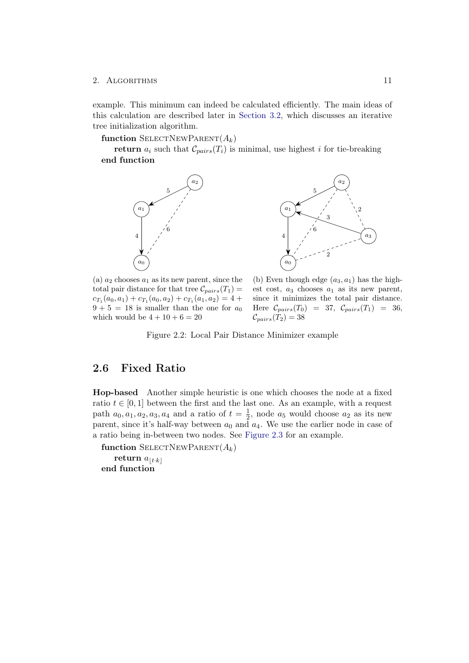example. This minimum can indeed be calculated efficiently. The main ideas of this calculation are described later in [Section 3.2,](#page-23-1) which discusses an iterative tree initialization algorithm.

function SELECTNEWPARENT $(A_k)$ 

<span id="page-15-1"></span>return  $a_i$  such that  $\mathcal{C}_{pairs}(T_i)$  is minimal, use highest i for tie-breaking end function





(a)  $a_2$  chooses  $a_1$  as its new parent, since the total pair distance for that tree  $\mathcal{C}_{pairs}(T_1) =$  $c_{T_1}(a_0, a_1) + c_{T_1}(a_0, a_2) + c_{T_1}(a_1, a_2) = 4 +$  $9 + 5 = 18$  is smaller than the one for  $a_0$ which would be  $4 + 10 + 6 = 20$ 

(b) Even though edge  $(a_3, a_1)$  has the highest cost,  $a_3$  chooses  $a_1$  as its new parent, since it minimizes the total pair distance. Here  $\mathcal{C}_{pairs}(T_0) = 37, \mathcal{C}_{pairs}(T_1) = 36,$  $\mathcal{C}_{pairs}(T_2) = 38$ 

Figure 2.2: Local Pair Distance Minimizer example

## <span id="page-15-0"></span>2.6 Fixed Ratio

Hop-based Another simple heuristic is one which chooses the node at a fixed ratio  $t \in [0, 1]$  between the first and the last one. As an example, with a request path  $a_0, a_1, a_2, a_3, a_4$  and a ratio of  $t = \frac{1}{2}$  $\frac{1}{2}$ , node  $a_5$  would choose  $a_2$  as its new parent, since it's half-way between  $a_0$  and  $a_4$ . We use the earlier node in case of a ratio being in-between two nodes. See [Figure 2.3](#page-16-0) for an example.

function SELECTNEWPARENT $(A_k)$ return  $a_{\lfloor t \cdot k \rfloor}$ end function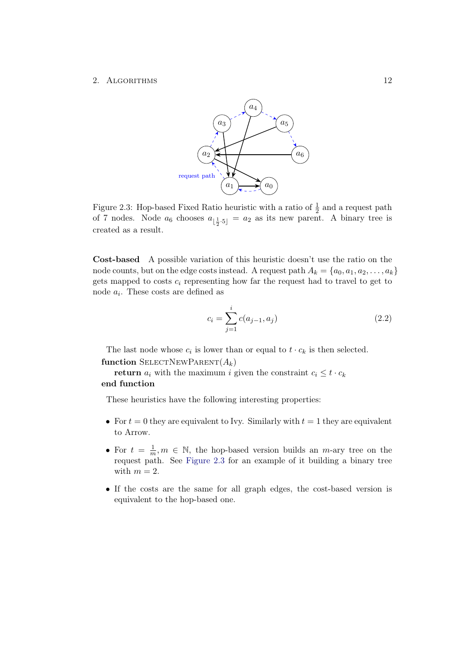<span id="page-16-0"></span>

Figure 2.3: Hop-based Fixed Ratio heuristic with a ratio of  $\frac{1}{2}$  and a request path of 7 nodes. Node  $a_6$  chooses  $a_{\lfloor \frac{1}{2} \cdot 5\rfloor} = a_2$  as its new parent. A binary tree is created as a result.

Cost-based A possible variation of this heuristic doesn't use the ratio on the node counts, but on the edge costs instead. A request path  $A_k = \{a_0, a_1, a_2, \ldots, a_k\}$ gets mapped to costs  $c_i$  representing how far the request had to travel to get to node  $a_i$ . These costs are defined as

$$
c_i = \sum_{j=1}^{i} c(a_{j-1}, a_j)
$$
 (2.2)

The last node whose  $c_i$  is lower than or equal to  $t \cdot c_k$  is then selected. function SELECTNEWPARENT $(A_k)$ 

return  $a_i$  with the maximum i given the constraint  $c_i \leq t \cdot c_k$ end function

These heuristics have the following interesting properties:

- For  $t = 0$  they are equivalent to Ivy. Similarly with  $t = 1$  they are equivalent to Arrow.
- For  $t = \frac{1}{n}$  $\frac{1}{m}, m \in \mathbb{N}$ , the hop-based version builds an  $m$ -ary tree on the request path. See [Figure 2.3](#page-16-0) for an example of it building a binary tree with  $m = 2$ .
- If the costs are the same for all graph edges, the cost-based version is equivalent to the hop-based one.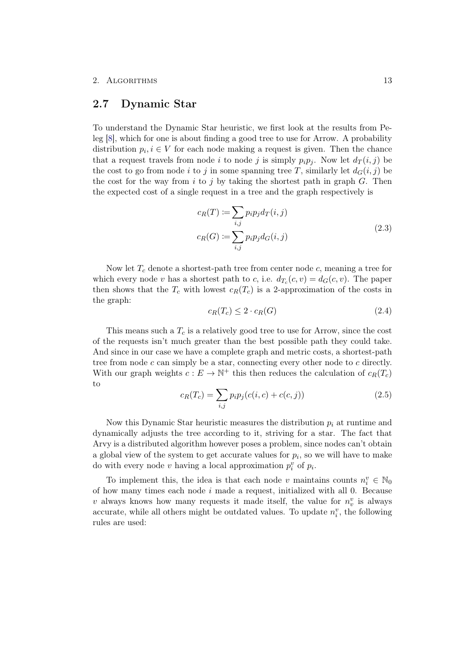## <span id="page-17-0"></span>2.7 Dynamic Star

To understand the Dynamic Star heuristic, we first look at the results from Peleg [\[8\]](#page-38-8), which for one is about finding a good tree to use for Arrow. A probability distribution  $p_i, i \in V$  for each node making a request is given. Then the chance that a request travels from node i to node j is simply  $p_i p_j$ . Now let  $d_T(i, j)$  be the cost to go from node i to j in some spanning tree T, similarly let  $d_G(i, j)$  be the cost for the way from i to j by taking the shortest path in graph  $G$ . Then the expected cost of a single request in a tree and the graph respectively is

$$
c_R(T) := \sum_{i,j} p_i p_j d_T(i,j)
$$
  

$$
c_R(G) := \sum_{i,j} p_i p_j d_G(i,j)
$$
 (2.3)

Now let  $T_c$  denote a shortest-path tree from center node  $c$ , meaning a tree for which every node v has a shortest path to c, i.e.  $d_{T_c}(c, v) = d_G(c, v)$ . The paper then shows that the  $T_c$  with lowest  $c_R(T_c)$  is a 2-approximation of the costs in the graph:

$$
c_R(T_c) \le 2 \cdot c_R(G) \tag{2.4}
$$

This means such a  $T_c$  is a relatively good tree to use for Arrow, since the cost of the requests isn't much greater than the best possible path they could take. And since in our case we have a complete graph and metric costs, a shortest-path tree from node c can simply be a star, connecting every other node to c directly. With our graph weights  $c: E \to \mathbb{N}^+$  this then reduces the calculation of  $c_R(T_c)$ to

<span id="page-17-1"></span>
$$
c_R(T_c) = \sum_{i,j} p_i p_j (c(i, c) + c(c, j))
$$
\n(2.5)

Now this Dynamic Star heuristic measures the distribution  $p_i$  at runtime and dynamically adjusts the tree according to it, striving for a star. The fact that Arvy is a distributed algorithm however poses a problem, since nodes can't obtain a global view of the system to get accurate values for  $p_i$ , so we will have to make do with every node v having a local approximation  $p_i^v$  of  $p_i$ .

To implement this, the idea is that each node v maintains counts  $n_i^v \in \mathbb{N}_0$ of how many times each node  $i$  made a request, initialized with all 0. Because v always knows how many requests it made itself, the value for  $n_v^v$  is always accurate, while all others might be outdated values. To update  $n_i^v$ , the following rules are used: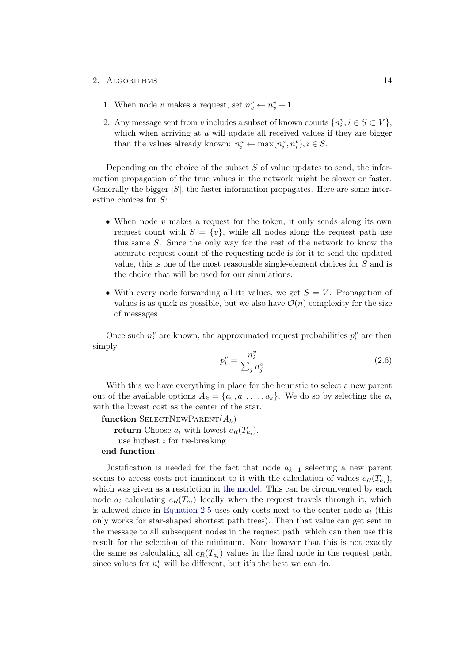- 1. When node v makes a request, set  $n_v^v \leftarrow n_v^v + 1$
- 2. Any message sent from v includes a subset of known counts  $\{n_i^v, i \in S \subset V\}$ , which when arriving at  $u$  will update all received values if they are bigger than the values already known:  $n_i^u \leftarrow \max(n_i^u, n_i^v), i \in S$ .

Depending on the choice of the subset  $S$  of value updates to send, the information propagation of the true values in the network might be slower or faster. Generally the bigger  $|S|$ , the faster information propagates. Here are some interesting choices for S:

- When node  $v$  makes a request for the token, it only sends along its own request count with  $S = \{v\}$ , while all nodes along the request path use this same S. Since the only way for the rest of the network to know the accurate request count of the requesting node is for it to send the updated value, this is one of the most reasonable single-element choices for S and is the choice that will be used for our simulations.
- With every node forwarding all its values, we get  $S = V$ . Propagation of values is as quick as possible, but we also have  $\mathcal{O}(n)$  complexity for the size of messages.

Once such  $n_i^v$  are known, the approximated request probabilities  $p_i^v$  are then simply

$$
p_i^v = \frac{n_i^v}{\sum_j n_j^v} \tag{2.6}
$$

With this we have everything in place for the heuristic to select a new parent out of the available options  $A_k = \{a_0, a_1, \ldots, a_k\}$ . We do so by selecting the  $a_i$ with the lowest cost as the center of the star.

```
function SELECTNEWPARENT(A_k)return Choose a_i with lowest c_R(T_{a_i}),use highest i for tie-breaking
end function
```
Justification is needed for the fact that node  $a_{k+1}$  selecting a new parent seems to access costs not imminent to it with the calculation of values  $c_R(T_{a_i})$ , which was given as a restriction in [the model.](#page-6-0) This can be circumvented by each node  $a_i$  calculating  $c_R(T_{a_i})$  locally when the request travels through it, which is allowed since in [Equation 2.5](#page-17-1) uses only costs next to the center node  $a_i$  (this only works for star-shaped shortest path trees). Then that value can get sent in the message to all subsequent nodes in the request path, which can then use this result for the selection of the minimum. Note however that this is not exactly the same as calculating all  $c_R(T_{a_i})$  values in the final node in the request path, since values for  $n_i^v$  will be different, but it's the best we can do.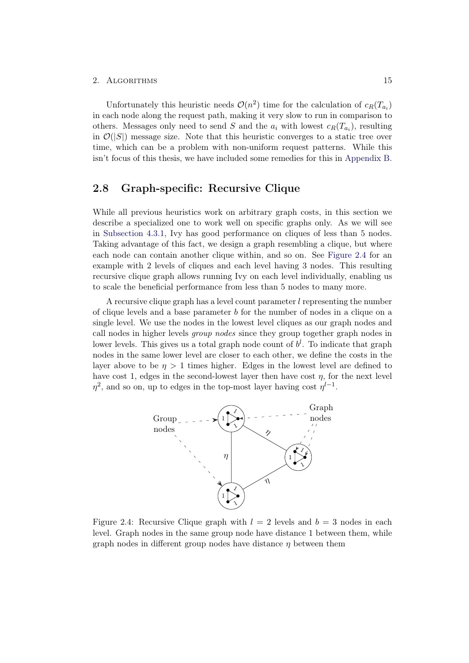Unfortunately this heuristic needs  $\mathcal{O}(n^2)$  time for the calculation of  $c_R(T_{a_i})$ in each node along the request path, making it very slow to run in comparison to others. Messages only need to send S and the  $a_i$  with lowest  $c_R(T_{a_i})$ , resulting in  $\mathcal{O}(|S|)$  message size. Note that this heuristic converges to a static tree over time, which can be a problem with non-uniform request patterns. While this isn't focus of this thesis, we have included some remedies for this in [Appendix B.](#page-44-0)

## <span id="page-19-0"></span>2.8 Graph-specific: Recursive Clique

While all previous heuristics work on arbitrary graph costs, in this section we describe a specialized one to work well on specific graphs only. As we will see in [Subsection 4.3.1,](#page-35-1) Ivy has good performance on cliques of less than 5 nodes. Taking advantage of this fact, we design a graph resembling a clique, but where each node can contain another clique within, and so on. See [Figure 2.4](#page-19-1) for an example with 2 levels of cliques and each level having 3 nodes. This resulting recursive clique graph allows running Ivy on each level individually, enabling us to scale the beneficial performance from less than 5 nodes to many more.

A recursive clique graph has a level count parameter l representing the number of clique levels and a base parameter b for the number of nodes in a clique on a single level. We use the nodes in the lowest level cliques as our graph nodes and call nodes in higher levels group nodes since they group together graph nodes in lower levels. This gives us a total graph node count of  $b^l$ . To indicate that graph nodes in the same lower level are closer to each other, we define the costs in the layer above to be  $\eta > 1$  times higher. Edges in the lowest level are defined to have cost 1, edges in the second-lowest layer then have cost  $\eta$ , for the next level  $\eta^2$ , and so on, up to edges in the top-most layer having cost  $\eta^{l-1}$ .

<span id="page-19-1"></span>

Figure 2.4: Recursive Clique graph with  $l = 2$  levels and  $b = 3$  nodes in each level. Graph nodes in the same group node have distance 1 between them, while graph nodes in different group nodes have distance  $\eta$  between them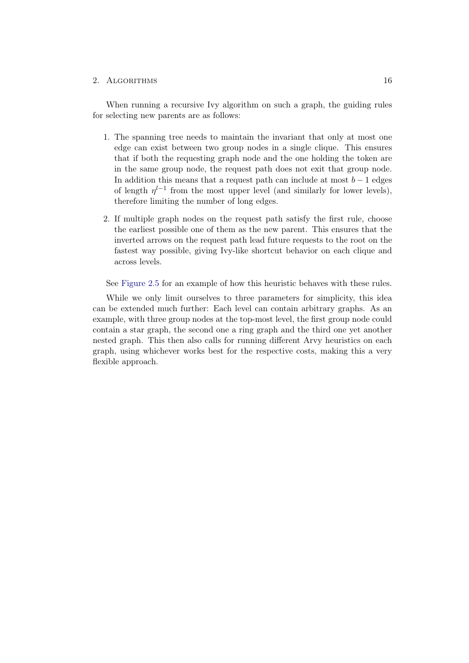When running a recursive Ivy algorithm on such a graph, the guiding rules for selecting new parents are as follows:

- <span id="page-20-0"></span>1. The spanning tree needs to maintain the invariant that only at most one edge can exist between two group nodes in a single clique. This ensures that if both the requesting graph node and the one holding the token are in the same group node, the request path does not exit that group node. In addition this means that a request path can include at most  $b - 1$  edges of length  $\eta^{l-1}$  from the most upper level (and similarly for lower levels), therefore limiting the number of long edges.
- 2. If multiple graph nodes on the request path satisfy the first rule, choose the earliest possible one of them as the new parent. This ensures that the inverted arrows on the request path lead future requests to the root on the fastest way possible, giving Ivy-like shortcut behavior on each clique and across levels.

See [Figure 2.5](#page-21-0) for an example of how this heuristic behaves with these rules.

While we only limit ourselves to three parameters for simplicity, this idea can be extended much further: Each level can contain arbitrary graphs. As an example, with three group nodes at the top-most level, the first group node could contain a star graph, the second one a ring graph and the third one yet another nested graph. This then also calls for running different Arvy heuristics on each graph, using whichever works best for the respective costs, making this a very flexible approach.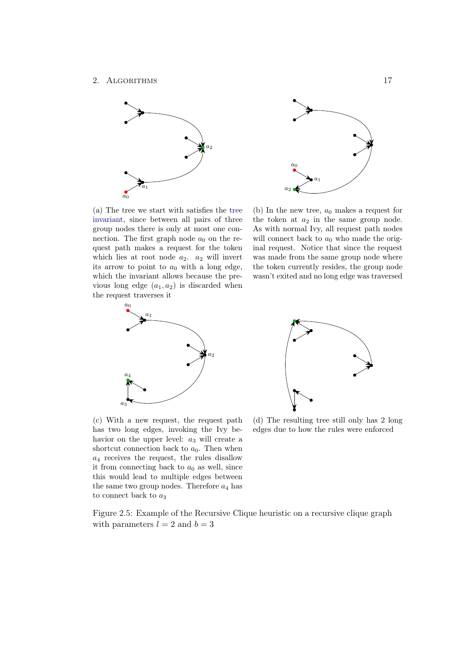<span id="page-21-0"></span>

(a) The tree we start with satisfies the [tree](#page-20-0) [invariant,](#page-20-0) since between all pairs of three group nodes there is only at most one connection. The first graph node  $a_0$  on the request path makes a request for the token which lies at root node  $a_2$ .  $a_2$  will invert its arrow to point to  $a_0$  with a long edge, which the invariant allows because the previous long edge  $(a_1, a_2)$  is discarded when the request traverses it





(c) With a new request, the request path has two long edges, invoking the Ivy behavior on the upper level:  $a_3$  will create a shortcut connection back to  $a_0$ . Then when  $a_4$  receives the request, the rules disallow it from connecting back to  $a_0$  as well, since this would lead to multiple edges between the same two group nodes. Therefore  $a_4$  has to connect back to  $a_3$ 

(d) The resulting tree still only has 2 long edges due to how the rules were enforced

Figure 2.5: Example of the Recursive Clique heuristic on a recursive clique graph with parameters  $l = 2$  and  $b = 3$ 



(b) In the new tree,  $a_0$  makes a request for the token at  $a_2$  in the same group node. As with normal Ivy, all request path nodes will connect back to  $a_0$  who made the original request. Notice that since the request was made from the same group node where the token currently resides, the group node wasn't exited and no long edge was traversed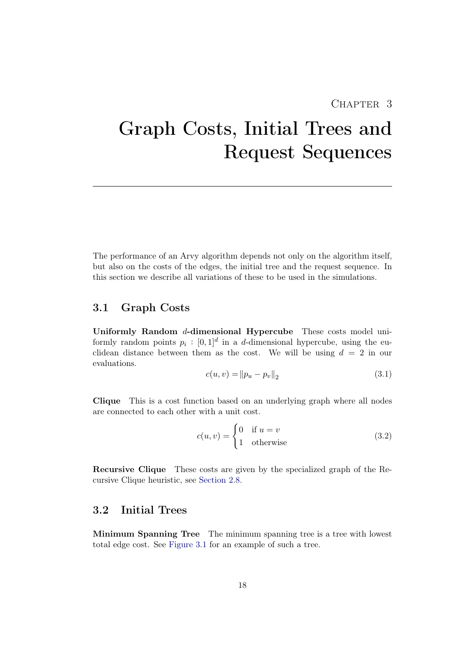## CHAPTER<sub>3</sub>

# <span id="page-22-0"></span>Graph Costs, Initial Trees and Request Sequences

The performance of an Arvy algorithm depends not only on the algorithm itself, but also on the costs of the edges, the initial tree and the request sequence. In this section we describe all variations of these to be used in the simulations.

## <span id="page-22-1"></span>3.1 Graph Costs

<span id="page-22-3"></span>Uniformly Random d-dimensional Hypercube These costs model uniformly random points  $p_i : [0,1]^d$  in a d-dimensional hypercube, using the euclidean distance between them as the cost. We will be using  $d = 2$  in our evaluations.

$$
c(u, v) = ||p_u - p_v||_2
$$
\n(3.1)

Clique This is a cost function based on an underlying graph where all nodes are connected to each other with a unit cost.

$$
c(u, v) = \begin{cases} 0 & \text{if } u = v \\ 1 & \text{otherwise} \end{cases}
$$
 (3.2)

Recursive Clique These costs are given by the specialized graph of the Recursive Clique heuristic, see [Section 2.8.](#page-19-0)

## <span id="page-22-2"></span>3.2 Initial Trees

Minimum Spanning Tree The minimum spanning tree is a tree with lowest total edge cost. See [Figure 3.1](#page-26-0) for an example of such a tree.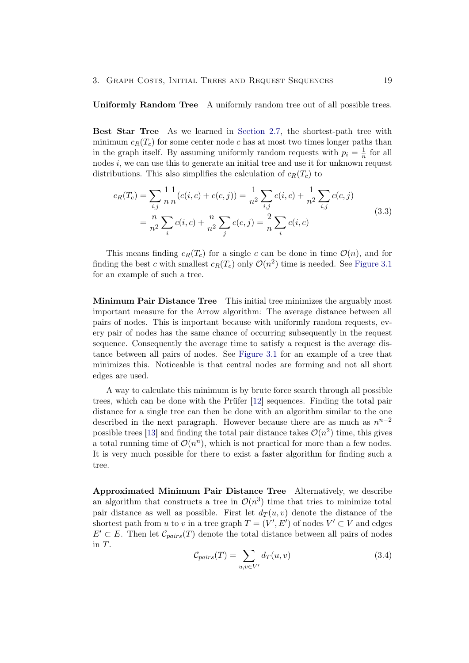#### Uniformly Random Tree A uniformly random tree out of all possible trees.

<span id="page-23-2"></span>Best Star Tree As we learned in [Section 2.7,](#page-17-0) the shortest-path tree with minimum  $c_R(T_c)$  for some center node c has at most two times longer paths than in the graph itself. By assuming uniformly random requests with  $p_i = \frac{1}{n}$  $\frac{1}{n}$  for all nodes  $i$ , we can use this to generate an initial tree and use it for unknown request distributions. This also simplifies the calculation of  $c_R(T_c)$  to

$$
c_R(T_c) = \sum_{i,j} \frac{1}{n} \frac{1}{n} (c(i, c) + c(c, j)) = \frac{1}{n^2} \sum_{i,j} c(i, c) + \frac{1}{n^2} \sum_{i,j} c(c, j)
$$
  
= 
$$
\frac{n}{n^2} \sum_{i} c(i, c) + \frac{n}{n^2} \sum_{j} c(c, j) = \frac{2}{n} \sum_{i} c(i, c)
$$
 (3.3)

This means finding  $c_R(T_c)$  for a single c can be done in time  $\mathcal{O}(n)$ , and for finding the best c with smallest  $c_R(T_c)$  only  $\mathcal{O}(n^2)$  time is needed. See [Figure 3.1](#page-26-0) for an example of such a tree.

<span id="page-23-0"></span>Minimum Pair Distance Tree This initial tree minimizes the arguably most important measure for the Arrow algorithm: The average distance between all pairs of nodes. This is important because with uniformly random requests, every pair of nodes has the same chance of occurring subsequently in the request sequence. Consequently the average time to satisfy a request is the average distance between all pairs of nodes. See [Figure 3.1](#page-26-0) for an example of a tree that minimizes this. Noticeable is that central nodes are forming and not all short edges are used.

A way to calculate this minimum is by brute force search through all possible trees, which can be done with the Prüfer [\[12\]](#page-39-0) sequences. Finding the total pair distance for a single tree can then be done with an algorithm similar to the one described in the next paragraph. However because there are as much as  $n^{n-2}$ possible trees [\[13\]](#page-39-1) and finding the total pair distance takes  $\mathcal{O}(n^2)$  time, this gives a total running time of  $\mathcal{O}(n^n)$ , which is not practical for more than a few nodes. It is very much possible for there to exist a faster algorithm for finding such a tree.

<span id="page-23-1"></span>Approximated Minimum Pair Distance Tree Alternatively, we describe an algorithm that constructs a tree in  $\mathcal{O}(n^3)$  time that tries to minimize total pair distance as well as possible. First let  $d_T(u, v)$  denote the distance of the shortest path from u to v in a tree graph  $T = (V', E')$  of nodes  $V' \subset V$  and edges  $E' \subset E$ . Then let  $\mathcal{C}_{pairs}(T)$  denote the total distance between all pairs of nodes in T.

$$
\mathcal{C}_{pairs}(T) = \sum_{u,v \in V'} d_T(u,v) \tag{3.4}
$$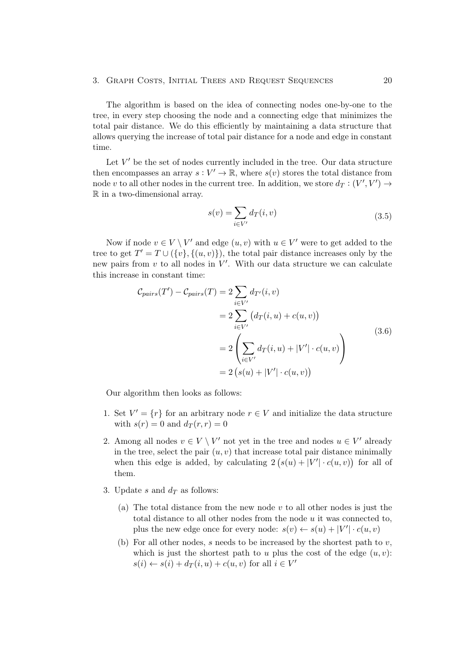#### 3. GRAPH COSTS, INITIAL TREES AND REQUEST SEQUENCES 20

The algorithm is based on the idea of connecting nodes one-by-one to the tree, in every step choosing the node and a connecting edge that minimizes the total pair distance. We do this efficiently by maintaining a data structure that allows querying the increase of total pair distance for a node and edge in constant time.

Let  $V'$  be the set of nodes currently included in the tree. Our data structure then encompasses an array  $s: V' \to \mathbb{R}$ , where  $s(v)$  stores the total distance from node v to all other nodes in the current tree. In addition, we store  $d_T : (V', V') \rightarrow$ R in a two-dimensional array.

$$
s(v) = \sum_{i \in V'} d_T(i, v) \tag{3.5}
$$

Now if node  $v \in V \setminus V'$  and edge  $(u, v)$  with  $u \in V'$  were to get added to the tree to get  $T' = T \cup (\{v\}, \{(u, v)\})$ , the total pair distance increases only by the new pairs from  $v$  to all nodes in  $V'$ . With our data structure we can calculate this increase in constant time:

$$
\mathcal{C}_{pairs}(T') - \mathcal{C}_{pairs}(T) = 2 \sum_{i \in V'} d_{T'}(i, v)
$$
  
= 
$$
2 \sum_{i \in V'} (d_{T}(i, u) + c(u, v))
$$
  
= 
$$
2 \left( \sum_{i \in V'} d_{T}(i, u) + |V'| \cdot c(u, v) \right)
$$
  
= 
$$
2 \left( s(u) + |V'| \cdot c(u, v) \right)
$$
 (3.6)

Our algorithm then looks as follows:

- 1. Set  $V' = \{r\}$  for an arbitrary node  $r \in V$  and initialize the data structure with  $s(r) = 0$  and  $d_T(r, r) = 0$
- <span id="page-24-0"></span>2. Among all nodes  $v \in V \setminus V'$  not yet in the tree and nodes  $u \in V'$  already in the tree, select the pair  $(u, v)$  that increase total pair distance minimally when this edge is added, by calculating  $2(s(u) + |V'| \cdot c(u, v))$  for all of them.
- 3. Update s and  $d_T$  as follows:
	- (a) The total distance from the new node  $v$  to all other nodes is just the total distance to all other nodes from the node u it was connected to, plus the new edge once for every node:  $s(v) \leftarrow s(u) + |V'| \cdot c(u, v)$
	- (b) For all other nodes, s needs to be increased by the shortest path to  $v$ , which is just the shortest path to u plus the cost of the edge  $(u, v)$ :  $s(i) \leftarrow s(i) + d_T(i, u) + c(u, v)$  for all  $i \in V'$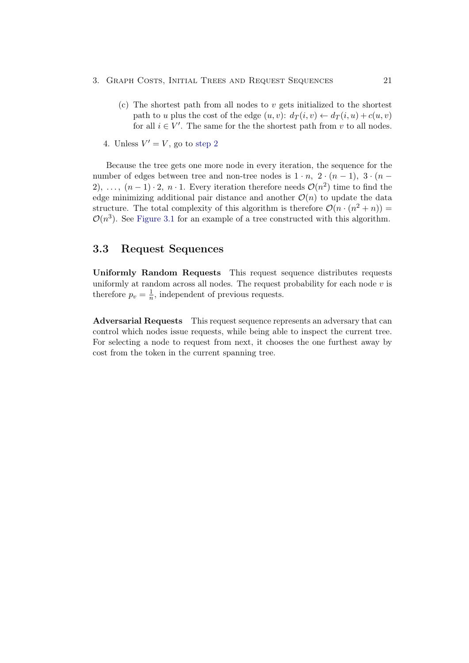- 3. GRAPH COSTS, INITIAL TREES AND REQUEST SEQUENCES 21
	- (c) The shortest path from all nodes to  $v$  gets initialized to the shortest path to u plus the cost of the edge  $(u, v): d_T(i, v) \leftarrow d_T(i, u) + c(u, v)$ for all  $i \in V'$ . The same for the shortest path from v to all nodes.
	- 4. Unless  $V' = V$ , go to [step](#page-24-0) [2](#page-24-0)

Because the tree gets one more node in every iteration, the sequence for the number of edges between tree and non-tree nodes is  $1 \cdot n$ ,  $2 \cdot (n-1)$ ,  $3 \cdot (n-1)$ 2), ...,  $(n-1) \cdot 2$ ,  $n \cdot 1$ . Every iteration therefore needs  $\mathcal{O}(n^2)$  time to find the edge minimizing additional pair distance and another  $\mathcal{O}(n)$  to update the data structure. The total complexity of this algorithm is therefore  $\mathcal{O}(n \cdot (n^2 + n)) =$  $\mathcal{O}(n^3)$ . See [Figure 3.1](#page-26-0) for an example of a tree constructed with this algorithm.

## <span id="page-25-0"></span>3.3 Request Sequences

Uniformly Random Requests This request sequence distributes requests uniformly at random across all nodes. The request probability for each node  $v$  is therefore  $p_v = \frac{1}{n}$  $\frac{1}{n}$ , independent of previous requests.

<span id="page-25-1"></span>Adversarial Requests This request sequence represents an adversary that can control which nodes issue requests, while being able to inspect the current tree. For selecting a node to request from next, it chooses the one furthest away by cost from the token in the current spanning tree.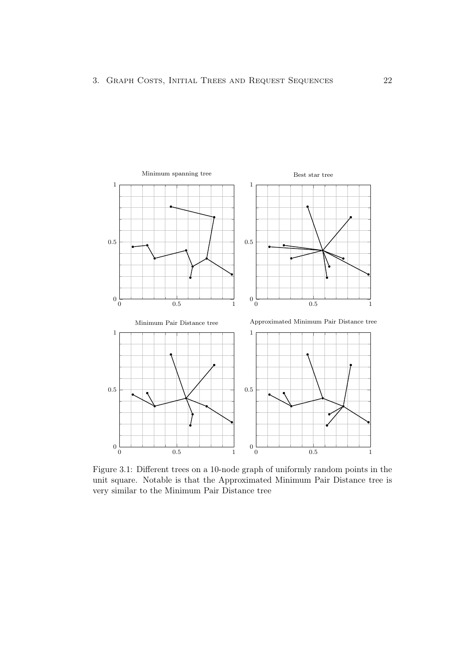<span id="page-26-0"></span>

Figure 3.1: Different trees on a 10-node graph of uniformly random points in the unit square. Notable is that the Approximated Minimum Pair Distance tree is very similar to the Minimum Pair Distance tree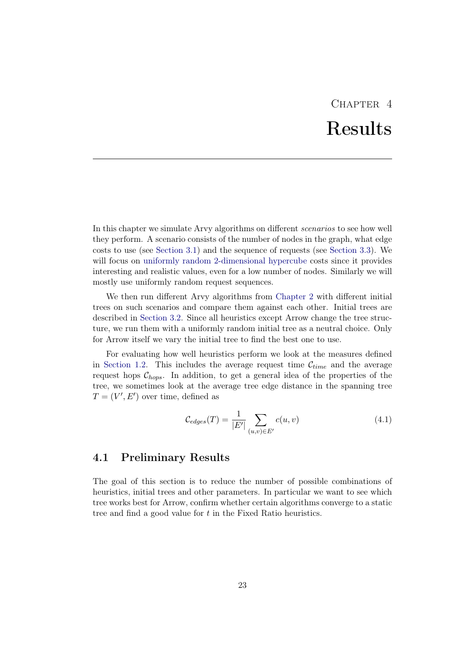## CHAPTER<sub>4</sub> Results

<span id="page-27-0"></span>In this chapter we simulate Arvy algorithms on different scenarios to see how well they perform. A scenario consists of the number of nodes in the graph, what edge costs to use (see [Section 3.1\)](#page-22-1) and the sequence of requests (see [Section 3.3\)](#page-25-0). We will focus on [uniformly random 2-dimensional hypercube](#page-22-3) costs since it provides interesting and realistic values, even for a low number of nodes. Similarly we will mostly use uniformly random request sequences.

We then run different Arvy algorithms from [Chapter 2](#page-12-0) with different initial trees on such scenarios and compare them against each other. Initial trees are described in [Section 3.2.](#page-22-2) Since all heuristics except Arrow change the tree structure, we run them with a uniformly random initial tree as a neutral choice. Only for Arrow itself we vary the initial tree to find the best one to use.

For evaluating how well heuristics perform we look at the measures defined in [Section 1.2.](#page-7-0) This includes the average request time  $\mathcal{C}_{time}$  and the average request hops  $\mathcal{C}_{hops}$ . In addition, to get a general idea of the properties of the tree, we sometimes look at the average tree edge distance in the spanning tree  $T = (V', E')$  over time, defined as

$$
\mathcal{C}_{edges}(T) = \frac{1}{|E'|} \sum_{(u,v) \in E'} c(u,v)
$$
\n(4.1)

## <span id="page-27-1"></span>4.1 Preliminary Results

The goal of this section is to reduce the number of possible combinations of heuristics, initial trees and other parameters. In particular we want to see which tree works best for Arrow, confirm whether certain algorithms converge to a static tree and find a good value for t in the Fixed Ratio heuristics.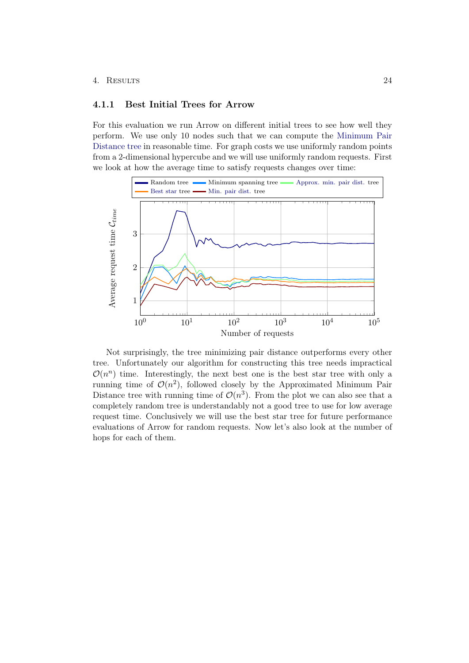#### 4. Results 24

## <span id="page-28-0"></span>4.1.1 Best Initial Trees for Arrow

For this evaluation we run Arrow on different initial trees to see how well they perform. We use only 10 nodes such that we can compute the [Minimum Pair](#page-23-0) [Distance tree](#page-23-0) in reasonable time. For graph costs we use uniformly random points from a 2-dimensional hypercube and we will use uniformly random requests. First we look at how the average time to satisfy requests changes over time:



Not surprisingly, the tree minimizing pair distance outperforms every other tree. Unfortunately our algorithm for constructing this tree needs impractical  $\mathcal{O}(n^n)$  time. Interestingly, the next best one is the best star tree with only a running time of  $\mathcal{O}(n^2)$ , followed closely by the Approximated Minimum Pair Distance tree with running time of  $\mathcal{O}(n^3)$ . From the plot we can also see that a completely random tree is understandably not a good tree to use for low average request time. Conclusively we will use the best star tree for future performance evaluations of Arrow for random requests. Now let's also look at the number of hops for each of them.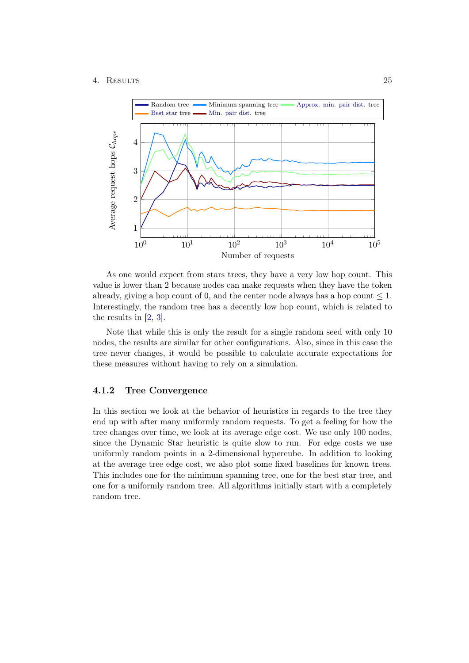#### 4. Results 25



As one would expect from stars trees, they have a very low hop count. This value is lower than 2 because nodes can make requests when they have the token already, giving a hop count of 0, and the center node always has a hop count  $\leq 1$ . Interestingly, the random tree has a decently low hop count, which is related to the results in [\[2,](#page-38-2) [3\]](#page-38-3).

Note that while this is only the result for a single random seed with only 10 nodes, the results are similar for other configurations. Also, since in this case the tree never changes, it would be possible to calculate accurate expectations for these measures without having to rely on a simulation.

### <span id="page-29-0"></span>4.1.2 Tree Convergence

In this section we look at the behavior of heuristics in regards to the tree they end up with after many uniformly random requests. To get a feeling for how the tree changes over time, we look at its average edge cost. We use only 100 nodes, since the Dynamic Star heuristic is quite slow to run. For edge costs we use uniformly random points in a 2-dimensional hypercube. In addition to looking at the average tree edge cost, we also plot some fixed baselines for known trees. This includes one for the minimum spanning tree, one for the best star tree, and one for a uniformly random tree. All algorithms initially start with a completely random tree.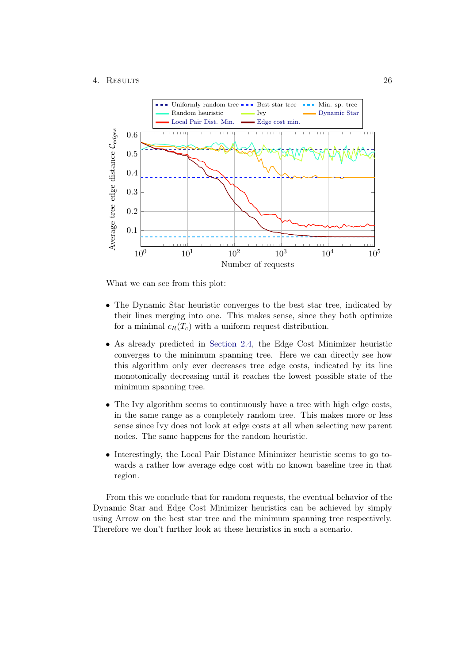

What we can see from this plot:

- The Dynamic Star heuristic converges to the best star tree, indicated by their lines merging into one. This makes sense, since they both optimize for a minimal  $c_R(T_c)$  with a uniform request distribution.
- As already predicted in [Section 2.4,](#page-13-2) the Edge Cost Minimizer heuristic converges to the minimum spanning tree. Here we can directly see how this algorithm only ever decreases tree edge costs, indicated by its line monotonically decreasing until it reaches the lowest possible state of the minimum spanning tree.
- The Ivy algorithm seems to continuously have a tree with high edge costs, in the same range as a completely random tree. This makes more or less sense since Ivy does not look at edge costs at all when selecting new parent nodes. The same happens for the random heuristic.
- Interestingly, the Local Pair Distance Minimizer heuristic seems to go towards a rather low average edge cost with no known baseline tree in that region.

From this we conclude that for random requests, the eventual behavior of the Dynamic Star and Edge Cost Minimizer heuristics can be achieved by simply using Arrow on the best star tree and the minimum spanning tree respectively. Therefore we don't further look at these heuristics in such a scenario.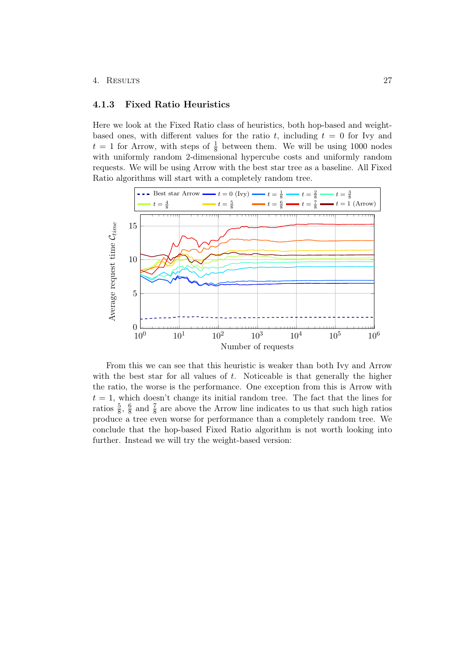#### 4. Results 27

## <span id="page-31-0"></span>4.1.3 Fixed Ratio Heuristics

Here we look at the Fixed Ratio class of heuristics, both hop-based and weightbased ones, with different values for the ratio t, including  $t = 0$  for Ivy and  $t = 1$  for Arrow, with steps of  $\frac{1}{8}$  between them. We will be using 1000 nodes with uniformly random 2-dimensional hypercube costs and uniformly random requests. We will be using Arrow with the best star tree as a baseline. All Fixed Ratio algorithms will start with a completely random tree.



From this we can see that this heuristic is weaker than both Ivy and Arrow with the best star for all values of  $t$ . Noticeable is that generally the higher the ratio, the worse is the performance. One exception from this is Arrow with  $t = 1$ , which doesn't change its initial random tree. The fact that the lines for ratios  $\frac{5}{8}$ ,  $\frac{6}{8}$  $\frac{6}{8}$  and  $\frac{7}{8}$  are above the Arrow line indicates to us that such high ratios produce a tree even worse for performance than a completely random tree. We conclude that the hop-based Fixed Ratio algorithm is not worth looking into further. Instead we will try the weight-based version: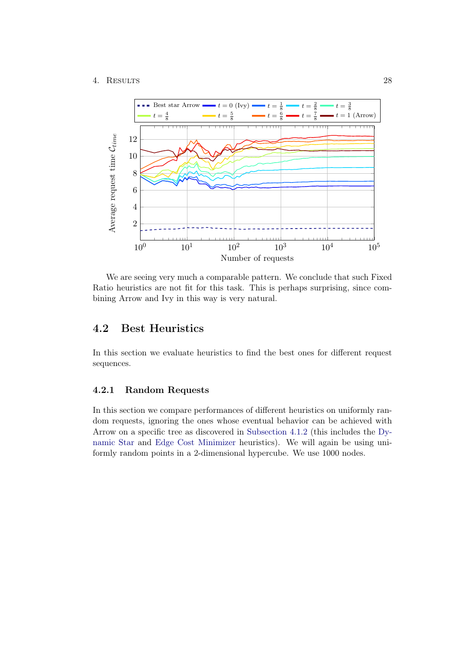### 4. Results 28



We are seeing very much a comparable pattern. We conclude that such Fixed Ratio heuristics are not fit for this task. This is perhaps surprising, since combining Arrow and Ivy in this way is very natural.

## <span id="page-32-0"></span>4.2 Best Heuristics

In this section we evaluate heuristics to find the best ones for different request sequences.

## <span id="page-32-1"></span>4.2.1 Random Requests

In this section we compare performances of different heuristics on uniformly random requests, ignoring the ones whose eventual behavior can be achieved with Arrow on a specific tree as discovered in [Subsection 4.1.2](#page-29-0) (this includes the [Dy](#page-17-0)[namic Star](#page-17-0) and [Edge Cost Minimizer](#page-13-2) heuristics). We will again be using uniformly random points in a 2-dimensional hypercube. We use 1000 nodes.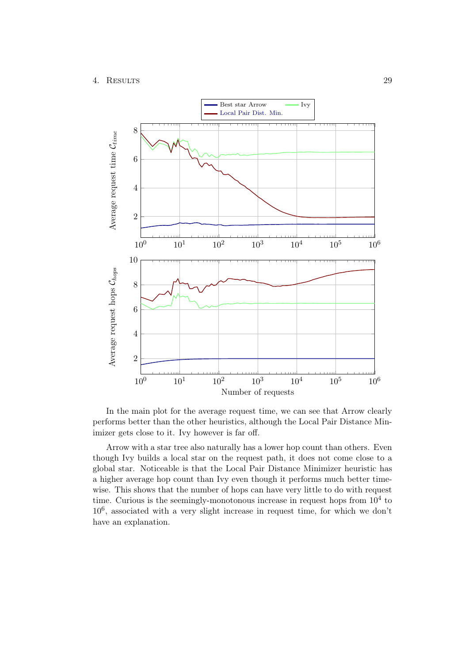

In the main plot for the average request time, we can see that Arrow clearly performs better than the other heuristics, although the Local Pair Distance Minimizer gets close to it. Ivy however is far off.

Arrow with a star tree also naturally has a lower hop count than others. Even though Ivy builds a local star on the request path, it does not come close to a global star. Noticeable is that the Local Pair Distance Minimizer heuristic has a higher average hop count than Ivy even though it performs much better timewise. This shows that the number of hops can have very little to do with request time. Curious is the seemingly-monotonous increase in request hops from  $10<sup>4</sup>$  to 10<sup>6</sup> , associated with a very slight increase in request time, for which we don't have an explanation.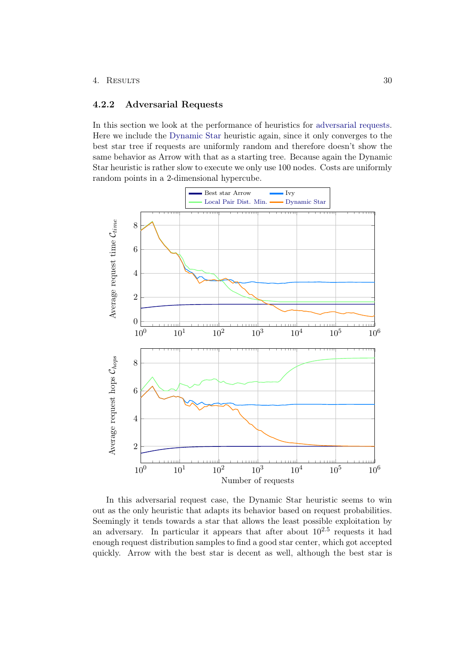#### 4. Results 30

## <span id="page-34-0"></span>4.2.2 Adversarial Requests

In this section we look at the performance of heuristics for [adversarial requests.](#page-25-1) Here we include the [Dynamic Star](#page-17-0) heuristic again, since it only converges to the best star tree if requests are uniformly random and therefore doesn't show the same behavior as Arrow with that as a starting tree. Because again the Dynamic Star heuristic is rather slow to execute we only use 100 nodes. Costs are uniformly random points in a 2-dimensional hypercube.



In this adversarial request case, the Dynamic Star heuristic seems to win out as the only heuristic that adapts its behavior based on request probabilities. Seemingly it tends towards a star that allows the least possible exploitation by an adversary. In particular it appears that after about  $10^{2.5}$  requests it had enough request distribution samples to find a good star center, which got accepted quickly. Arrow with the best star is decent as well, although the best star is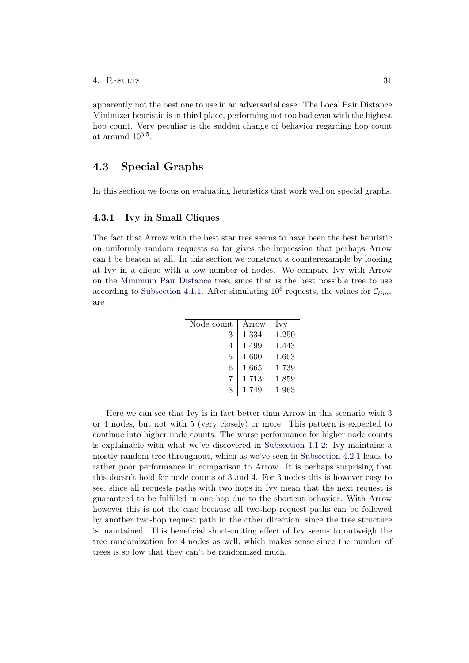apparently not the best one to use in an adversarial case. The Local Pair Distance Minimizer heuristic is in third place, performing not too bad even with the highest hop count. Very peculiar is the sudden change of behavior regarding hop count at around  $10^{3.5}$ .

## <span id="page-35-0"></span>4.3 Special Graphs

In this section we focus on evaluating heuristics that work well on special graphs.

### <span id="page-35-1"></span>4.3.1 Ivy in Small Cliques

The fact that Arrow with the best star tree seems to have been the best heuristic on uniformly random requests so far gives the impression that perhaps Arrow can't be beaten at all. In this section we construct a counterexample by looking at Ivy in a clique with a low number of nodes. We compare Ivy with Arrow on the [Minimum Pair Distance](#page-23-0) tree, since that is the best possible tree to use according to [Subsection 4.1.1.](#page-28-0) After simulating  $10^6$  requests, the values for  $\mathcal{C}_{time}$ are

| Node count | Arrow | Ivy   |
|------------|-------|-------|
| 3          | 1.334 | 1.250 |
| 4          | 1.499 | 1.443 |
| 5          | 1.600 | 1.603 |
| 6          | 1.665 | 1.739 |
| 7          | 1.713 | 1.859 |
| я          | 1.749 | 1.963 |

Here we can see that Ivy is in fact better than Arrow in this scenario with 3 or 4 nodes, but not with 5 (very closely) or more. This pattern is expected to continue into higher node counts. The worse performance for higher node counts is explainable with what we've discovered in [Subsection 4.1.2:](#page-29-0) Ivy maintains a mostly random tree throughout, which as we've seen in [Subsection 4.2.1](#page-32-1) leads to rather poor performance in comparison to Arrow. It is perhaps surprising that this doesn't hold for node counts of 3 and 4. For 3 nodes this is however easy to see, since all requests paths with two hops in Ivy mean that the next request is guaranteed to be fulfilled in one hop due to the shortcut behavior. With Arrow however this is not the case because all two-hop request paths can be followed by another two-hop request path in the other direction, since the tree structure is maintained. This beneficial short-cutting effect of Ivy seems to outweigh the tree randomization for 4 nodes as well, which makes sense since the number of trees is so low that they can't be randomized much.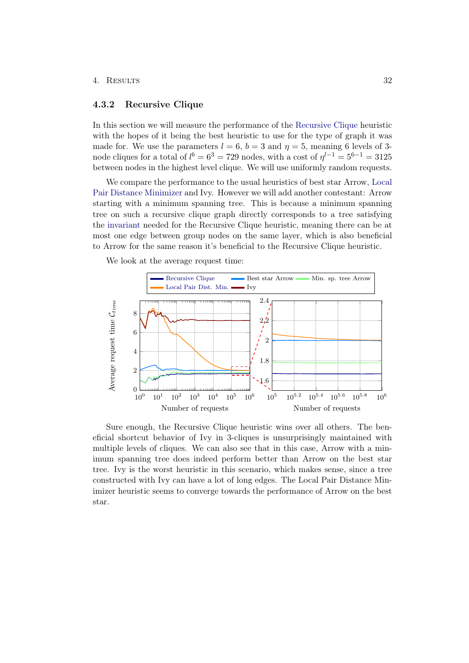#### 4. Results 32

### <span id="page-36-0"></span>4.3.2 Recursive Clique

In this section we will measure the performance of the [Recursive Clique](#page-19-0) heuristic with the hopes of it being the best heuristic to use for the type of graph it was made for. We use the parameters  $l = 6$ ,  $b = 3$  and  $\eta = 5$ , meaning 6 levels of 3node cliques for a total of  $l^{b} = 6^{3} = 729$  nodes, with a cost of  $\eta^{l-1} = 5^{6-1} = 3125$ between nodes in the highest level clique. We will use uniformly random requests.

We compare the performance to the usual heuristics of best star Arrow, [Local](#page-14-0) [Pair Distance Minimizer](#page-14-0) and Ivy. However we will add another contestant: Arrow starting with a minimum spanning tree. This is because a minimum spanning tree on such a recursive clique graph directly corresponds to a tree satisfying the [invariant](#page-20-0) needed for the Recursive Clique heuristic, meaning there can be at most one edge between group nodes on the same layer, which is also beneficial to Arrow for the same reason it's beneficial to the Recursive Clique heuristic.

We look at the average request time:



<span id="page-36-1"></span>Sure enough, the Recursive Clique heuristic wins over all others. The beneficial shortcut behavior of Ivy in 3-cliques is unsurprisingly maintained with multiple levels of cliques. We can also see that in this case, Arrow with a minimum spanning tree does indeed perform better than Arrow on the best star tree. Ivy is the worst heuristic in this scenario, which makes sense, since a tree constructed with Ivy can have a lot of long edges. The Local Pair Distance Minimizer heuristic seems to converge towards the performance of Arrow on the best star.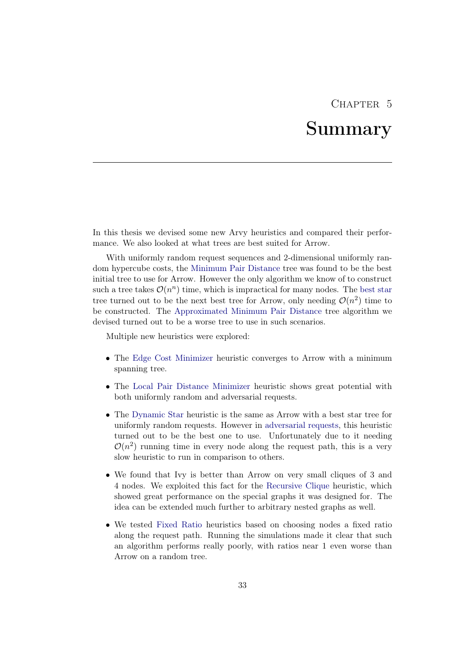## CHAPTER<sub>5</sub>

## Summary

<span id="page-37-0"></span>In this thesis we devised some new Arvy heuristics and compared their performance. We also looked at what trees are best suited for Arrow.

With uniformly random request sequences and 2-dimensional uniformly random hypercube costs, the [Minimum Pair Distance](#page-23-0) tree was found to be the best initial tree to use for Arrow. However the only algorithm we know of to construct such a tree takes  $\mathcal{O}(n^n)$  time, which is impractical for many nodes. The [best star](#page-23-2) tree turned out to be the next best tree for Arrow, only needing  $\mathcal{O}(n^2)$  time to be constructed. The [Approximated Minimum Pair Distance](#page-23-1) tree algorithm we devised turned out to be a worse tree to use in such scenarios.

Multiple new heuristics were explored:

- The [Edge Cost Minimizer](#page-13-2) heuristic converges to Arrow with a minimum spanning tree.
- The [Local Pair Distance Minimizer](#page-14-0) heuristic shows great potential with both uniformly random and adversarial requests.
- The [Dynamic Star](#page-17-0) heuristic is the same as Arrow with a best star tree for uniformly random requests. However in [adversarial requests,](#page-25-1) this heuristic turned out to be the best one to use. Unfortunately due to it needing  $\mathcal{O}(n^2)$  running time in every node along the request path, this is a very slow heuristic to run in comparison to others.
- We found that Ivy is better than Arrow on very small cliques of 3 and 4 nodes. We exploited this fact for the [Recursive Clique](#page-19-0) heuristic, which showed great performance on the special graphs it was designed for. The idea can be extended much further to arbitrary nested graphs as well.
- We tested [Fixed Ratio](#page-15-0) heuristics based on choosing nodes a fixed ratio along the request path. Running the simulations made it clear that such an algorithm performs really poorly, with ratios near 1 even worse than Arrow on a random tree.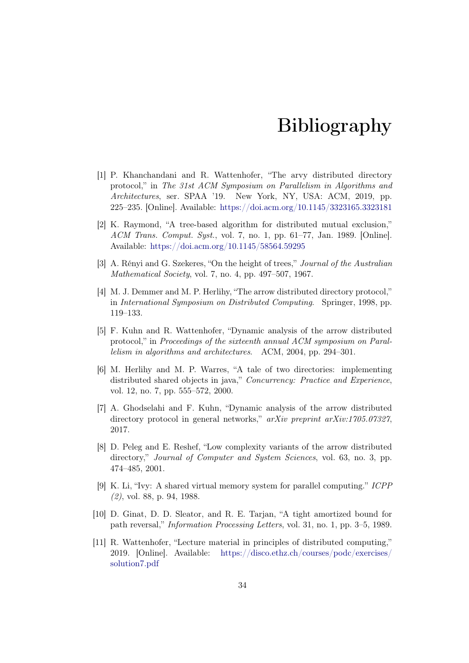## Bibliography

- <span id="page-38-1"></span><span id="page-38-0"></span>[1] P. Khanchandani and R. Wattenhofer, "The arvy distributed directory protocol," in The 31st ACM Symposium on Parallelism in Algorithms and Architectures, ser. SPAA '19. New York, NY, USA: ACM, 2019, pp. 225–235. [Online]. Available: <https://doi.acm.org/10.1145/3323165.3323181>
- <span id="page-38-2"></span>[2] K. Raymond, "A tree-based algorithm for distributed mutual exclusion," ACM Trans. Comput. Syst., vol. 7, no. 1, pp. 61–77, Jan. 1989. [Online]. Available: <https://doi.acm.org/10.1145/58564.59295>
- <span id="page-38-3"></span>[3] A. Rényi and G. Szekeres, "On the height of trees," Journal of the Australian Mathematical Society, vol. 7, no. 4, pp. 497–507, 1967.
- <span id="page-38-4"></span>[4] M. J. Demmer and M. P. Herlihy, "The arrow distributed directory protocol," in International Symposium on Distributed Computing. Springer, 1998, pp. 119–133.
- <span id="page-38-5"></span>[5] F. Kuhn and R. Wattenhofer, "Dynamic analysis of the arrow distributed protocol," in Proceedings of the sixteenth annual ACM symposium on Parallelism in algorithms and architectures. ACM, 2004, pp. 294–301.
- <span id="page-38-6"></span>[6] M. Herlihy and M. P. Warres, "A tale of two directories: implementing distributed shared objects in java," Concurrency: Practice and Experience, vol. 12, no. 7, pp. 555–572, 2000.
- <span id="page-38-7"></span>[7] A. Ghodselahi and F. Kuhn, "Dynamic analysis of the arrow distributed directory protocol in general networks," arXiv preprint arXiv:1705.07327, 2017.
- <span id="page-38-8"></span>[8] D. Peleg and E. Reshef, "Low complexity variants of the arrow distributed directory," *Journal of Computer and System Sciences*, vol. 63, no. 3, pp. 474–485, 2001.
- <span id="page-38-9"></span>[9] K. Li, "Ivy: A shared virtual memory system for parallel computing." ICPP (2), vol. 88, p. 94, 1988.
- <span id="page-38-10"></span>[10] D. Ginat, D. D. Sleator, and R. E. Tarjan, "A tight amortized bound for path reversal," Information Processing Letters, vol. 31, no. 1, pp. 3–5, 1989.
- <span id="page-38-11"></span>[11] R. Wattenhofer, "Lecture material in principles of distributed computing," 2019. [Online]. Available: [https://disco.ethz.ch/courses/podc/exercises/](https://disco.ethz.ch/courses/podc/exercises/solution7.pdf) [solution7.pdf](https://disco.ethz.ch/courses/podc/exercises/solution7.pdf)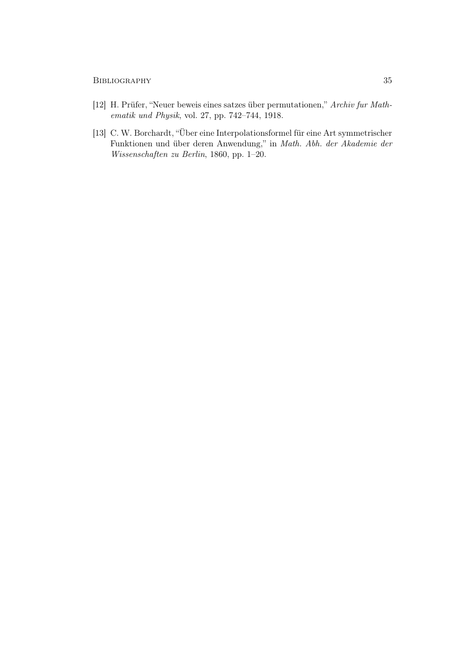- <span id="page-39-0"></span>[12] H. Prüfer, "Neuer beweis eines satzes über permutationen," Archiv fur Mathematik und Physik, vol. 27, pp. 742–744, 1918.
- <span id="page-39-1"></span>[13] C. W. Borchardt, "Über eine Interpolationsformel für eine Art symmetrischer Funktionen und über deren Anwendung," in Math. Abh. der Akademie der Wissenschaften zu Berlin, 1860, pp. 1–20.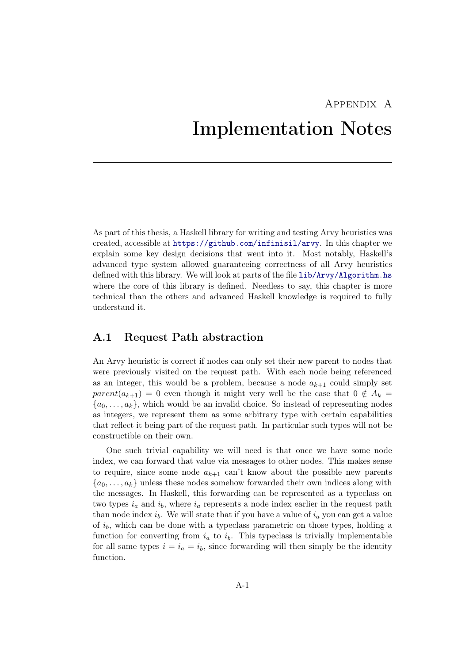## <span id="page-40-0"></span>Appendix A Implementation Notes

As part of this thesis, a Haskell library for writing and testing Arvy heuristics was created, accessible at <https://github.com/infinisil/arvy>. In this chapter we explain some key design decisions that went into it. Most notably, Haskell's advanced type system allowed guaranteeing correctness of all Arvy heuristics defined with this library. We will look at parts of the file [lib/Arvy/Algorithm.hs](https://github.com/Infinisil/arvy/blob/1bdac2aa8e599372f2b058d26ec9c33fd53d7a72/lib/Arvy/Algorithm.hs) where the core of this library is defined. Needless to say, this chapter is more technical than the others and advanced Haskell knowledge is required to fully understand it.

## <span id="page-40-1"></span>A.1 Request Path abstraction

An Arvy heuristic is correct if nodes can only set their new parent to nodes that were previously visited on the request path. With each node being referenced as an integer, this would be a problem, because a node  $a_{k+1}$  could simply set  $parent(a_{k+1}) = 0$  even though it might very well be the case that  $0 \notin A_k =$  ${a_0, \ldots, a_k}$ , which would be an invalid choice. So instead of representing nodes as integers, we represent them as some arbitrary type with certain capabilities that reflect it being part of the request path. In particular such types will not be constructible on their own.

One such trivial capability we will need is that once we have some node index, we can forward that value via messages to other nodes. This makes sense to require, since some node  $a_{k+1}$  can't know about the possible new parents  ${a_0, \ldots, a_k}$  unless these nodes somehow forwarded their own indices along with the messages. In Haskell, this forwarding can be represented as a typeclass on two types  $i_a$  and  $i_b$ , where  $i_a$  represents a node index earlier in the request path than node index  $i_b$ . We will state that if you have a value of  $i_a$  you can get a value of  $i_b$ , which can be done with a typeclass parametric on those types, holding a function for converting from  $i_a$  to  $i_b$ . This typeclass is trivially implementable for all same types  $i = i_a = i_b$ , since forwarding will then simply be the identity function.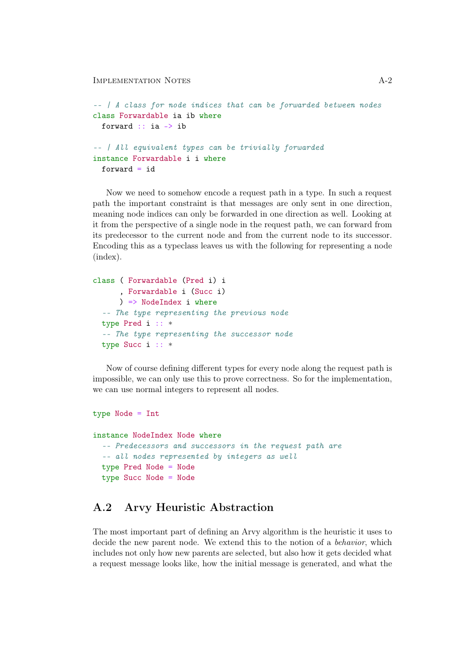```
-- | A class for node indices that can be forwarded between nodes
class Forwardable ia ib where
  forward :: ia -> ib
-- | All equivalent types can be trivially forwarded
instance Forwardable i i where
  forward = id
```
Now we need to somehow encode a request path in a type. In such a request path the important constraint is that messages are only sent in one direction, meaning node indices can only be forwarded in one direction as well. Looking at it from the perspective of a single node in the request path, we can forward from its predecessor to the current node and from the current node to its successor. Encoding this as a typeclass leaves us with the following for representing a node (index).

```
class ( Forwardable (Pred i) i
      , Forwardable i (Succ i)
     ) => NodeIndex i where
  -- The type representing the previous node
  type Pred i :: *
  -- The type representing the successor node
  type Succ i :: *
```
Now of course defining different types for every node along the request path is impossible, we can only use this to prove correctness. So for the implementation, we can use normal integers to represent all nodes.

```
type Node = Int
instance NodeIndex Node where
  -- Predecessors and successors in the request path are
  -- all nodes represented by integers as well
  type Pred Node = Node
  type Succ Node = Node
```
## <span id="page-41-0"></span>A.2 Arvy Heuristic Abstraction

The most important part of defining an Arvy algorithm is the heuristic it uses to decide the new parent node. We extend this to the notion of a *behavior*, which includes not only how new parents are selected, but also how it gets decided what a request message looks like, how the initial message is generated, and what the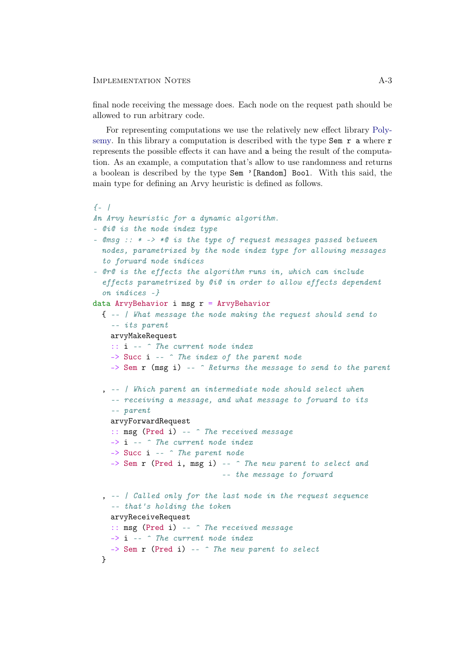#### Implementation Notes A-3

final node receiving the message does. Each node on the request path should be allowed to run arbitrary code.

For representing computations we use the relatively new effect library [Poly](https://hackage.haskell.org/package/polysemy)[semy.](https://hackage.haskell.org/package/polysemy) In this library a computation is described with the type  $\texttt{Sem } r \texttt{ a where } r$ represents the possible effects it can have and a being the result of the computation. As an example, a computation that's allow to use randomness and returns a boolean is described by the type Sem '[Random] Bool. With this said, the main type for defining an Arvy heuristic is defined as follows.

```
{f-1}An Arvy heuristic for a dynamic algorithm.
- @i@ is the node index type
- \mathbb{Q}msq :: * -> *\mathbb{Q} is the type of request messages passed between
  nodes, parametrized by the node index type for allowing messages
  to forward node indices
- @r@ is the effects the algorithm runs in, which can include
  effects parametrized by @i@ in order to allow effects dependent
  on indices -}
data ArvyBehavior i msg r = ArvyBehavior
  { -- | What message the node making the request should send to
    -- its parent
    arvyMakeRequest
    :: i -- ^ The current node index
    -> Succ i -- ^ The index of the parent node
    \Rightarrow Sem r (msg i) -- \hat{ } Returns the message to send to the parent
  , -- | Which parent an intermediate node should select when
    -- receiving a message, and what message to forward to its
    -- parent
    arvyForwardRequest
    :: msg (Pred i) -- ^ The received message
    -> i -- ^ The current node index
    \rightarrow Succ i \rightarrow The parent node
    -> Sem r (Pred i, msg i) -- ^ The new parent to select and
                               -- the message to forward
  , -- | Called only for the last node in the request sequence
    -- that's holding the token
    arvyReceiveRequest
    :: msg (Pred i) -- ^ The received message
    \rightarrow i \rightarrow The current node index
    \rightarrow Sem r (Pred i) -- \hat{ } The new parent to select
  }
```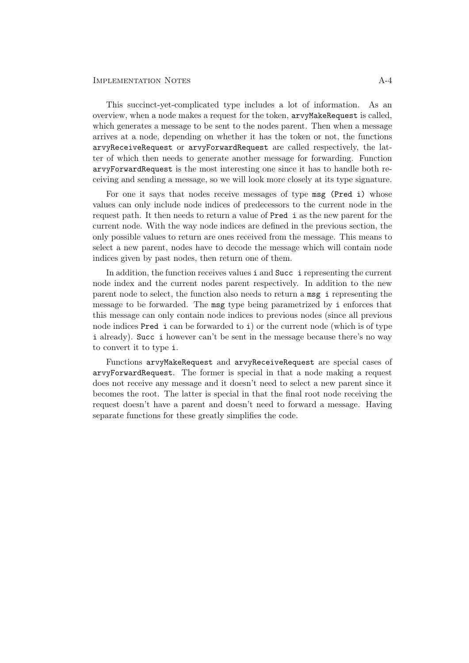This succinct-yet-complicated type includes a lot of information. As an overview, when a node makes a request for the token, arvyMakeRequest is called, which generates a message to be sent to the nodes parent. Then when a message arrives at a node, depending on whether it has the token or not, the functions arvyReceiveRequest or arvyForwardRequest are called respectively, the latter of which then needs to generate another message for forwarding. Function arvyForwardRequest is the most interesting one since it has to handle both receiving and sending a message, so we will look more closely at its type signature.

For one it says that nodes receive messages of type msg (Pred i) whose values can only include node indices of predecessors to the current node in the request path. It then needs to return a value of Pred i as the new parent for the current node. With the way node indices are defined in the previous section, the only possible values to return are ones received from the message. This means to select a new parent, nodes have to decode the message which will contain node indices given by past nodes, then return one of them.

In addition, the function receives values i and Succ i representing the current node index and the current nodes parent respectively. In addition to the new parent node to select, the function also needs to return a msg i representing the message to be forwarded. The msg type being parametrized by i enforces that this message can only contain node indices to previous nodes (since all previous node indices Pred i can be forwarded to i) or the current node (which is of type i already). Succ i however can't be sent in the message because there's no way to convert it to type i.

Functions arvyMakeRequest and arvyReceiveRequest are special cases of arvyForwardRequest. The former is special in that a node making a request does not receive any message and it doesn't need to select a new parent since it becomes the root. The latter is special in that the final root node receiving the request doesn't have a parent and doesn't need to forward a message. Having separate functions for these greatly simplifies the code.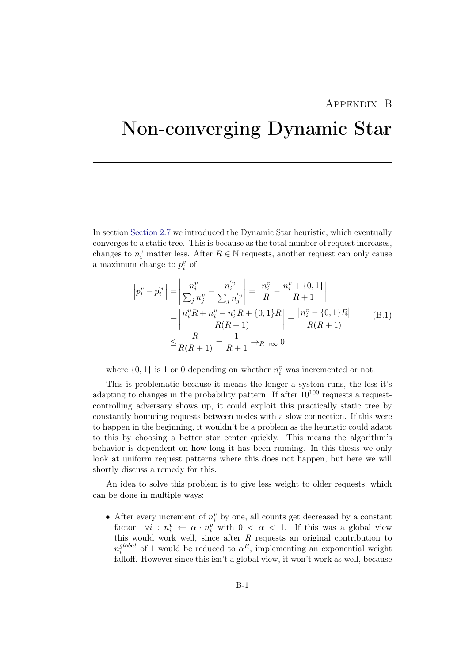## Appendix B

# <span id="page-44-0"></span>Non-converging Dynamic Star

In section [Section 2.7](#page-17-0) we introduced the Dynamic Star heuristic, which eventually converges to a static tree. This is because as the total number of request increases, changes to  $n_i^v$  matter less. After  $R \in \mathbb{N}$  requests, another request can only cause a maximum change to  $p_i^v$  of

$$
\left| p_i^v - p_i^{'v} \right| = \left| \frac{n_i^v}{\sum_j n_j^v} - \frac{n_i^{'v}}{\sum_j n_j^{'v}} \right| = \left| \frac{n_i^v}{R} - \frac{n_i^v + \{0, 1\}}{R + 1} \right|
$$
  
\n
$$
= \left| \frac{n_i^v R + n_i^v - n_i^v R + \{0, 1\} R}{R(R + 1)} \right| = \frac{\left| n_i^v - \{0, 1\} R \right|}{R(R + 1)}
$$
  
\n
$$
\leq \frac{R}{R(R + 1)} = \frac{1}{R + 1} \to_{R \to \infty} 0
$$
 (B.1)

where  $\{0,1\}$  is 1 or 0 depending on whether  $n_i^v$  was incremented or not.

This is problematic because it means the longer a system runs, the less it's adapting to changes in the probability pattern. If after  $10^{100}$  requests a requestcontrolling adversary shows up, it could exploit this practically static tree by constantly bouncing requests between nodes with a slow connection. If this were to happen in the beginning, it wouldn't be a problem as the heuristic could adapt to this by choosing a better star center quickly. This means the algorithm's behavior is dependent on how long it has been running. In this thesis we only look at uniform request patterns where this does not happen, but here we will shortly discuss a remedy for this.

An idea to solve this problem is to give less weight to older requests, which can be done in multiple ways:

• After every increment of  $n_i^v$  by one, all counts get decreased by a constant factor:  $\forall i : n_i^v \leftarrow \alpha \cdot n_i^v$  with  $0 < \alpha < 1$ . If this was a global view this would work well, since after  $R$  requests an original contribution to  $n_i^{global}$  $i^{global}$  of 1 would be reduced to  $\alpha^R$ , implementing an exponential weight falloff. However since this isn't a global view, it won't work as well, because